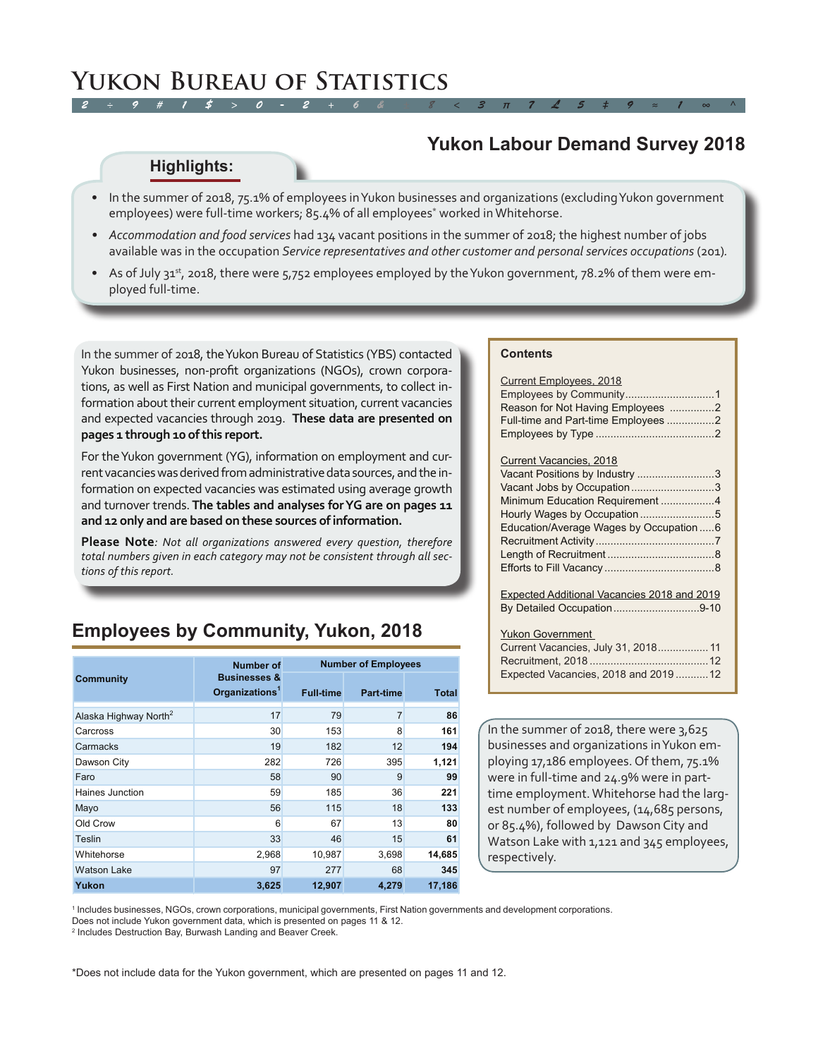# **Yukon Labour Demand Survey 2018**

#### **Highlights:**

- In the summer of 2018, 75.1% of employees in Yukon businesses and organizations (excluding Yukon government employees) were full-time workers; 85.4% of all employees\* worked in Whitehorse.
- *• Accommodation and food services* had 134 vacant positions in the summer of 2018; the highest number of jobs available was in the occupation *Service representatives and other customer and personal services occupations (201)*.
- As of July 31st, 2018, there were 5,752 employees employed by the Yukon government, 78.2% of them were employed full-time.

In the summer of 2018, the Yukon Bureau of Statistics (YBS) contacted Yukon businesses, non-profit organizations (NGOs), crown corporations, as well as First Nation and municipal governments, to collect information about their current employment situation, current vacancies and expected vacancies through 2019. **These data are presented on pages 1 through 10 of this report.**

For the Yukon government (YG), information on employment and current vacancies was derived from administrative data sources, and the information on expected vacancies was estimated using average growth and turnover trends. **The tables and analyses for YG are on pages 11 and 12 only and are based on these sources of information.** 

**Please Note***: Not all organizations answered every question, therefore total numbers given in each category may not be consistent through all sections of this report.* 

# **Employees by Community, Yukon, 2018**

|                                   | <b>Number of</b>                                      | <b>Number of Employees</b> |           |        |  |  |  |
|-----------------------------------|-------------------------------------------------------|----------------------------|-----------|--------|--|--|--|
| <b>Community</b>                  | <b>Businesses &amp;</b><br>Organizations <sup>1</sup> | <b>Full-time</b>           | Part-time | Total  |  |  |  |
| Alaska Highway North <sup>2</sup> | 17                                                    | 79                         | 7         | 86     |  |  |  |
| Carcross                          | 30 <sup>°</sup>                                       | 153                        | 8         | 161    |  |  |  |
| Carmacks                          | 19                                                    | 182                        | 12        | 194    |  |  |  |
| Dawson City                       | 282                                                   | 726                        | 395       | 1,121  |  |  |  |
| Faro                              | 58                                                    | 90                         | 9         | 99     |  |  |  |
| Haines Junction                   | 59                                                    | 185                        | 36        | 221    |  |  |  |
| Mayo                              | 56                                                    | 115                        | 18        | 133    |  |  |  |
| Old Crow                          | 6                                                     | 67                         | 13        | 80     |  |  |  |
| Teslin                            | 33                                                    | 46                         | 15        | 61     |  |  |  |
| Whitehorse                        | 2,968                                                 | 10,987                     | 3,698     | 14,685 |  |  |  |
| <b>Watson Lake</b>                | 97                                                    | 277                        | 68        | 345    |  |  |  |
| Yukon                             | 3,625                                                 | 12,907                     | 4,279     | 17,186 |  |  |  |

#### **Contents**

| <b>Current Employees, 2018</b><br>Reason for Not Having Employees 2<br>Full-time and Part-time Employees 2 |
|------------------------------------------------------------------------------------------------------------|
| Current Vacancies, 2018                                                                                    |
| Vacant Positions by Industry 3                                                                             |
| Vacant Jobs by Occupation3                                                                                 |
| Minimum Education Requirement 4                                                                            |
|                                                                                                            |
| Education/Average Wages by Occupation 6                                                                    |
|                                                                                                            |
|                                                                                                            |
|                                                                                                            |
|                                                                                                            |
| <b>Expected Additional Vacancies 2018 and 2019</b>                                                         |
| By Detailed Occupation9-10                                                                                 |

Yukon Government

| Current Vacancies, July 31, 2018 11 |  |
|-------------------------------------|--|
|                                     |  |
| Expected Vacancies, 2018 and 201912 |  |
|                                     |  |

In the summer of 2018, there were 3,625 businesses and organizations in Yukon employing 17,186 employees. Of them, 75.1% were in full-time and 24.9% were in parttime employment. Whitehorse had the largest number of employees, (14,685 persons, or 85.4%), followed by Dawson City and Watson Lake with 1,121 and 345 employees, respectively.

1 Includes businesses, NGOs, crown corporations, municipal governments, First Nation governments and development corporations.

Does not include Yukon government data, which is presented on pages 11 & 12.

2 Includes Destruction Bay, Burwash Landing and Beaver Creek.

\*Does not include data for the Yukon government, which are presented on pages 11 and 12.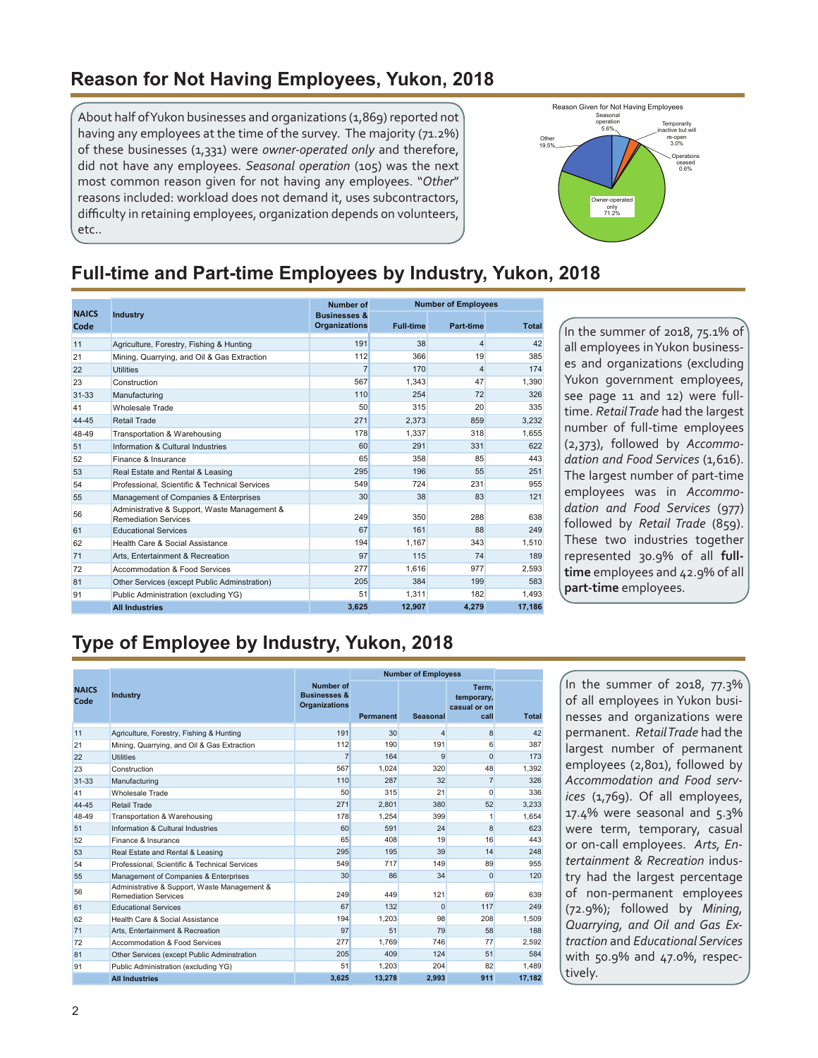### <span id="page-1-0"></span>**Reason for Not Having Employees, Yukon, 2018**

About half of Yukon businesses and organizations (1,869) reported not having any employees at the time of the survey. The majority (71.2%) of these businesses (1,331) were *owner-operated only* and therefore, did not have any employees. *Seasonal operation* (105) was the next most common reason given for not having any employees. "*Other*" reasons included: workload does not demand it, uses subcontractors, difficulty in retaining employees, organization depends on volunteers, etc..



# **Full-time and Part-time Employees by Industry, Yukon, 2018**

|                      |                                                                             | <b>Number of</b>                                |                  | <b>Number of Employees</b> |              |
|----------------------|-----------------------------------------------------------------------------|-------------------------------------------------|------------------|----------------------------|--------------|
| <b>NAICS</b><br>Code | <b>Industry</b>                                                             | <b>Businesses &amp;</b><br><b>Organizations</b> | <b>Full-time</b> | <b>Part-time</b>           | <b>Total</b> |
| 11                   | Agriculture, Forestry, Fishing & Hunting                                    | 191                                             | 38               | 4                          | 42           |
| 21                   | Mining, Quarrying, and Oil & Gas Extraction                                 | 112                                             | 366              | 19                         | 385          |
| 22                   | <b>Utilities</b>                                                            | $\overline{7}$                                  | 170              | 4                          | 174          |
| 23                   | Construction                                                                | 567                                             | 1.343            | 47                         | 1,390        |
| $31 - 33$            | Manufacturing                                                               | 110                                             | 254              | 72                         | 326          |
| 41                   | Wholesale Trade                                                             | 50                                              | 315              | 20                         | 335          |
| 44-45                | <b>Retail Trade</b>                                                         | 271                                             | 2,373            | 859                        | 3,232        |
| 48-49                | Transportation & Warehousing                                                | 178                                             | 1.337            | 318                        | 1,655        |
| 51                   | Information & Cultural Industries                                           | 60                                              | 291              | 331                        | 622          |
| 52                   | Finance & Insurance                                                         | 65                                              | 358              | 85                         | 443          |
| 53                   | Real Estate and Rental & Leasing                                            | 295                                             | 196              | 55                         | 251          |
| 54                   | Professional, Scientific & Technical Services                               | 549                                             | 724              | 231                        | 955          |
| 55                   | Management of Companies & Enterprises                                       | 30                                              | 38               | 83                         | 121          |
| 56                   | Administrative & Support, Waste Management &<br><b>Remediation Services</b> | 249                                             | 350              | 288                        | 638          |
| 61                   | <b>Educational Services</b>                                                 | 67                                              | 161              | 88                         | 249          |
| 62                   | Health Care & Social Assistance                                             | 194                                             | 1.167            | 343                        | 1,510        |
| 71                   | Arts, Entertainment & Recreation                                            | 97                                              | 115              | 74                         | 189          |
| 72                   | Accommodation & Food Services                                               | 277                                             | 1.616            | 977                        | 2.593        |
| 81                   | Other Services (except Public Adminstration)                                | 205                                             | 384              | 199                        | 583          |
| 91                   | Public Administration (excluding YG)                                        | 51                                              | 1.311            | 182                        | 1,493        |
|                      | <b>All Industries</b>                                                       | 3,625                                           | 12.907           | 4.279                      | 17,186       |

In the summer of 2018, 75.1% of all employees in Yukon businesses and organizations (excluding Yukon government employees, see page 11 and 12) were fulltime. *Retail Trade* had the largest number of full-time employees (2,373), followed by *Accommodation and Food Services* (1,616). The largest number of part-time employees was in *Accommodation and Food Services* (977) followed by *Retail Trade* (859). These two industries together represented 30.9% of all **fulltime** employees and 42.9% of all **part-time** employees.

# **Type of Employee by Industry, Yukon, 2018**

|                      |                                                                             |                                                              | <b>Number of Employess</b> |                 |                                              |              |
|----------------------|-----------------------------------------------------------------------------|--------------------------------------------------------------|----------------------------|-----------------|----------------------------------------------|--------------|
| <b>NAICS</b><br>Code | <b>Industry</b>                                                             | Number of<br><b>Businesses &amp;</b><br><b>Organizations</b> | Permanent                  | <b>Seasonal</b> | Term.<br>temporary,<br>casual or on-<br>call | <b>Total</b> |
| 11                   | Agriculture, Forestry, Fishing & Hunting                                    | 191                                                          | 30                         | 4               | 8                                            | 42           |
| 21                   | Mining, Quarrying, and Oil & Gas Extraction                                 | 112                                                          | 190                        | 191             | 6                                            | 387          |
| 22                   | <b>Utilities</b>                                                            | $\overline{7}$                                               | 164                        | $\mathbf{Q}$    | $\Omega$                                     | 173          |
| 23                   | Construction                                                                | 567                                                          | 1.024                      | 320             | 48                                           | 1,392        |
| $31 - 33$            | Manufacturing                                                               | 110                                                          | 287                        | 32              | $\overline{7}$                               | 326          |
| 41                   | Wholesale Trade                                                             | 50                                                           | 315                        | 21              | $\Omega$                                     | 336          |
| 44-45                | Retail Trade                                                                | 271                                                          | 2,801                      | 380             | 52                                           | 3,233        |
| 48-49                | Transportation & Warehousing                                                | 178                                                          | 1.254                      | 399             | 1                                            | 1,654        |
| 51                   | Information & Cultural Industries                                           | 60                                                           | 591                        | 24              | 8                                            | 623          |
| 52                   | Finance & Insurance                                                         | 65                                                           | 408                        | 19              | 16                                           | 443          |
| 53                   | Real Estate and Rental & Leasing                                            | 295                                                          | 195                        | 39              | 14                                           | 248          |
| 54                   | Professional, Scientific & Technical Services                               | 549                                                          | 717                        | 149             | 89                                           | 955          |
| 55                   | Management of Companies & Enterprises                                       | 30                                                           | 86                         | 34              | $\Omega$                                     | 120          |
| 56                   | Administrative & Support, Waste Management &<br><b>Remediation Services</b> | 249                                                          | 449                        | 121             | 69                                           | 639          |
| 61                   | <b>Educational Services</b>                                                 | 67                                                           | 132                        | $\Omega$        | 117                                          | 249          |
| 62                   | Health Care & Social Assistance                                             | 194                                                          | 1.203                      | 98              | 208                                          | 1,509        |
| 71                   | Arts. Entertainment & Recreation                                            | 97                                                           | 51                         | 79              | 58                                           | 188          |
| 72                   | Accommodation & Food Services                                               | 277                                                          | 1.769                      | 746             | 77                                           | 2.592        |
| 81                   | Other Services (except Public Adminstration                                 | 205                                                          | 409                        | 124             | 51                                           | 584          |
| 91                   | Public Administration (excluding YG)                                        | 51                                                           | 1.203                      | 204             | 82                                           | 1.489        |
|                      | <b>All Industries</b>                                                       | 3.625                                                        | 13.278                     | 2.993           | 911                                          | 17,182       |

In the summer of 2018, 77.3% of all employees in Yukon businesses and organizations were permanent. *Retail Trade* had the largest number of permanent employees (2,801), followed by *Accommodation and Food services* (1,769). Of all employees, 17.4% were seasonal and 5.3% were term, temporary, casual or on-call employees. *Arts, Entertainment & Recreation* industry had the largest percentage of non-permanent employees (72.9%); followed by *Mining, Quarrying, and Oil and Gas Extraction* and *Educational Services*  with 50.9% and 47.0%, respectively.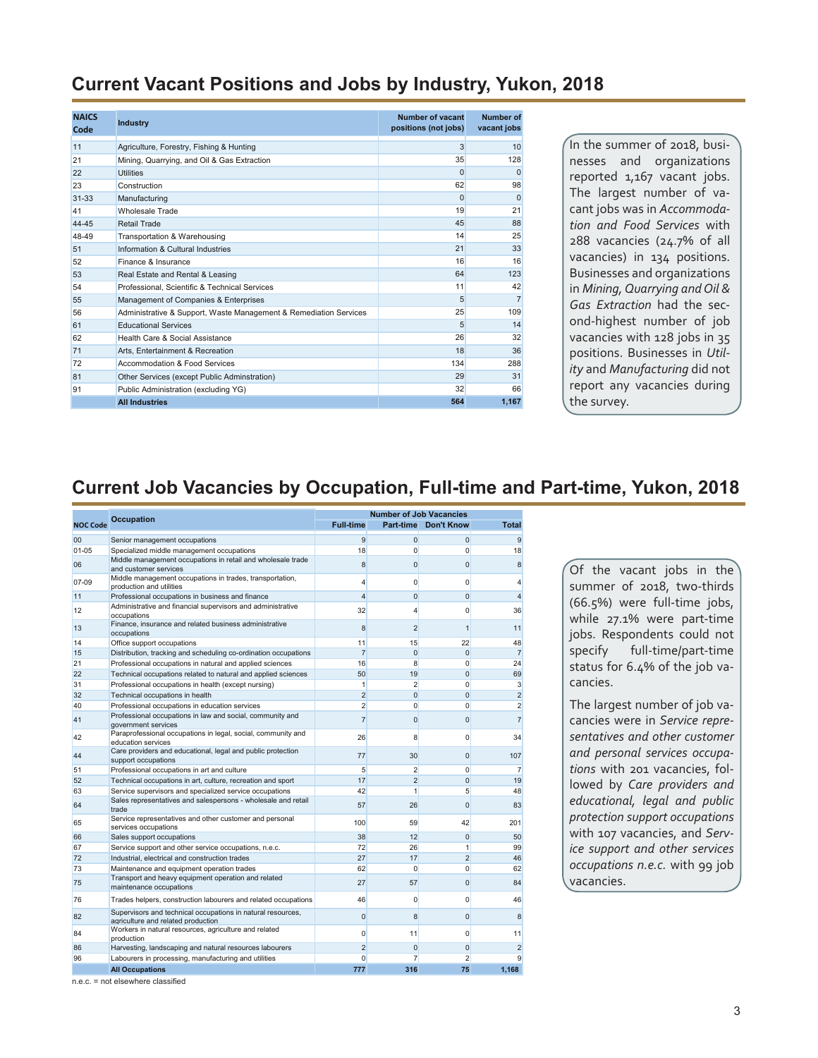#### <span id="page-2-0"></span>**Current Vacant Positions and Jobs by Industry, Yukon, 2018**

| <b>NAICS</b><br>Code | <b>Industry</b>                                                   | Number of vacant<br>positions (not jobs) | <b>Number of</b><br>vacant jobs |
|----------------------|-------------------------------------------------------------------|------------------------------------------|---------------------------------|
| 11                   | Agriculture, Forestry, Fishing & Hunting                          | 3                                        | 10                              |
| 21                   | Mining, Quarrying, and Oil & Gas Extraction                       | 35                                       | 128                             |
| 22                   | <b>Utilities</b>                                                  | $\Omega$                                 | $\Omega$                        |
| 23                   | Construction                                                      | 62                                       | 98                              |
| $31 - 33$            | Manufacturing                                                     | $\Omega$                                 | $\Omega$                        |
| 41                   | Wholesale Trade                                                   | 19                                       | 21                              |
| 44-45                | Retail Trade                                                      | 45                                       | 88                              |
| 48-49                | Transportation & Warehousing                                      | 14                                       | 25                              |
| 51                   | Information & Cultural Industries                                 | 21                                       | 33                              |
| 52                   | Finance & Insurance                                               | 16                                       | 16                              |
| 53                   | Real Estate and Rental & Leasing                                  | 64                                       | 123                             |
| 54                   | Professional, Scientific & Technical Services                     | 11                                       | 42                              |
| 55                   | Management of Companies & Enterprises                             | 5                                        | $\overline{7}$                  |
| 56                   | Administrative & Support, Waste Management & Remediation Services | 25                                       | 109                             |
| 61                   | <b>Educational Services</b>                                       | 5                                        | 14                              |
| 62                   | Health Care & Social Assistance                                   | 26                                       | 32                              |
| 71                   | Arts. Entertainment & Recreation                                  | 18                                       | 36                              |
| 72                   | Accommodation & Food Services                                     | 134                                      | 288                             |
| 81                   | Other Services (except Public Adminstration)                      | 29                                       | 31                              |
| 91                   | Public Administration (excluding YG)                              | 32                                       | 66                              |
|                      | <b>All Industries</b>                                             | 564                                      | 1,167                           |

In the summer of 2018, businesses and organizations reported 1,167 vacant jobs. The largest number of vacant jobs was in *Accommodation and Food Services* with 288 vacancies (24.7% of all vacancies) in 134 positions. Businesses and organizations in *Mining, Quarrying and Oil & Gas Extraction* had the second-highest number of job vacancies with 128 jobs in 35 positions. Businesses in *Utility* and *Manufacturing* did not report any vacancies during the survey.

#### **Current Job Vacancies by Occupation, Full-time and Part-time, Yukon, 2018**

|                 |                                                                                                   |                         | <b>Number of Job Vacancies</b> |                      |                |
|-----------------|---------------------------------------------------------------------------------------------------|-------------------------|--------------------------------|----------------------|----------------|
| <b>NOC Code</b> | <b>Occupation</b>                                                                                 | <b>Full time</b>        |                                | Part-time Don't Know | <b>Total</b>   |
| 00              | Senior management occupations                                                                     | 9                       | 0                              | $\mathbf 0$          | 9              |
| $01 - 05$       | Specialized middle management occupations                                                         | 18                      | $\Omega$                       | $\Omega$             | 18             |
| 06              | Middle management occupations in retail and wholesale trade<br>and customer services              | 8                       | $\overline{0}$                 | $\Omega$             | 8              |
| 07-09           | Middle management occupations in trades, transportation,<br>production and utilities              | 4                       | 0                              | $\mathbf{0}$         | 4              |
| 11              | Professional occupations in business and finance                                                  | $\overline{\mathbf{4}}$ | $\Omega$                       | $\Omega$             | $\overline{4}$ |
| 12              | Administrative and financial supervisors and administrative<br>occupations                        | 32                      | 4                              | 0                    | 36             |
| 13              | Finance, insurance and related business administrative<br>occupations                             | 8                       | $\overline{2}$                 | $\overline{1}$       | 11             |
| 14              | Office support occupations                                                                        | 11                      | 15                             | 22                   | 48             |
| 15              | Distribution, tracking and scheduling co-ordination occupations                                   | $\overline{7}$          | $\Omega$                       | $\Omega$             | $\overline{7}$ |
| 21              | Professional occupations in natural and applied sciences                                          | 16                      | 8                              | $\Omega$             | 24             |
| 22              | Technical occupations related to natural and applied sciences                                     | 50                      | 19                             | $\Omega$             | 69             |
| 31              | Professional occupations in health (except nursing)                                               | $\mathbf{1}$            | $\overline{2}$                 | $\mathbf{0}$         | 3              |
| 32              | Technical occupations in health                                                                   | $\overline{2}$          | $\overline{0}$                 | $\overline{0}$       | $\overline{2}$ |
| 40              | Professional occupations in education services                                                    | $\overline{2}$          | $\Omega$                       | $\Omega$             | $\overline{2}$ |
| 41              | Professional occupations in law and social, community and<br>government services                  | $\overline{7}$          | $\overline{0}$                 | $\Omega$             | $\overline{7}$ |
| 42              | Paraprofessional occupations in legal, social, community and<br>education services                | 26                      | 8                              | $\Omega$             | 34             |
| 44              | Care providers and educational, legal and public protection<br>support occupations                | 77                      | 30                             | $\Omega$             | 107            |
| 51              | Professional occupations in art and culture                                                       | 5 <sup>5</sup>          | $\overline{2}$                 | $\mathbf{0}$         | $\overline{7}$ |
| 52              | Technical occupations in art, culture, recreation and sport                                       | 17                      | $\overline{2}$                 | $\mathbf{0}$         | 19             |
| 63              | Service supervisors and specialized service occupations                                           | 42                      | 1                              | 5                    | 48             |
| 64              | Sales representatives and salespersons - wholesale and retail<br>trade                            | 57                      | 26                             | $\Omega$             | 83             |
| 65              | Service representatives and other customer and personal<br>services occupations                   | 100                     | 59                             | 42                   | 201            |
| 66              | Sales support occupations                                                                         | 38                      | 12                             | $\mathbf{0}$         | 50             |
| 67              | Service support and other service occupations, n.e.c.                                             | 72                      | 26                             | $\mathbf{1}$         | 99             |
| 72              | Industrial, electrical and construction trades                                                    | 27                      | 17                             | $\overline{2}$       | 46             |
| 73              | Maintenance and equipment operation trades                                                        | 62                      | 0                              | $\Omega$             | 62             |
| 75              | Transport and heavy equipment operation and related<br>maintenance occupations                    | 27                      | 57                             | $\Omega$             | 84             |
| 76              | Trades helpers, construction labourers and related occupations                                    | 46                      | 0                              | 0                    | 46             |
| 82              | Supervisors and technical occupations in natural resources,<br>agriculture and related production | $\mathbf{0}$            | 8                              | $\mathbf{0}$         | 8              |
| 84              | Workers in natural resources, agriculture and related<br>production                               | $\Omega$                | 11                             | $\Omega$             | 11             |
| 86              | Harvesting, landscaping and natural resources labourers                                           | $\overline{2}$          | $\overline{0}$                 | $\overline{0}$       | $\overline{a}$ |
| 96              | Labourers in processing, manufacturing and utilities                                              | $\Omega$                | 7                              | $\overline{2}$       | 9              |
|                 | <b>All Occupations</b>                                                                            | 777                     | 316                            | 75                   | 1.168          |

Of the vacant jobs in the summer of 2018, two-thirds (66.5%) were full-time jobs, while 27.1% were part-time jobs. Respondents could not specify full-time/part-time status for 6.4% of the job vacancies.

The largest number of job vacancies were in *Service representatives and other customer and personal services occupations* with 201 vacancies, followed by *Care providers and educational, legal and public protection support occupations* with 107 vacancies, and *Service support and other services occupations n.e.c.* with 99 job vacancies.

n.e.c. = not elsewhere classified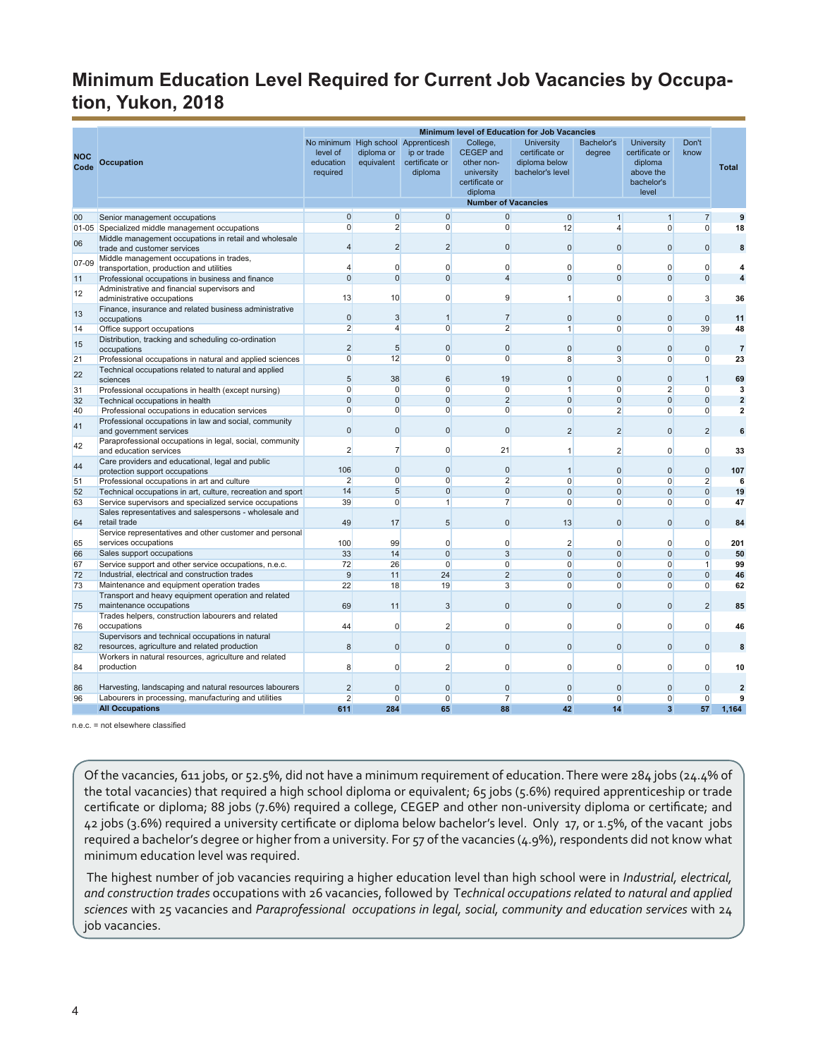## <span id="page-3-0"></span>**Minimum Education Level Required for Current Job Vacancies by Occupation, Yukon, 2018**

|             |                                                                                                                   |                                                 |                          |                                                                      |                                                                                                                     | <b>Minimum level of Education for Job Vacancies</b>                      |                             |                                                                                    |                                |                         |
|-------------|-------------------------------------------------------------------------------------------------------------------|-------------------------------------------------|--------------------------|----------------------------------------------------------------------|---------------------------------------------------------------------------------------------------------------------|--------------------------------------------------------------------------|-----------------------------|------------------------------------------------------------------------------------|--------------------------------|-------------------------|
| NOC<br>Code | Occupation                                                                                                        | No minimum<br>level of<br>education<br>required | diploma or<br>equivalent | High school Apprenticesh<br>ip or trade<br>certificate or<br>diploma | College,<br><b>CEGEP</b> and<br>other non-<br>university<br>certificate or<br>diploma<br><b>Number of Vacancies</b> | <b>University</b><br>certificate or<br>diploma below<br>bachelor's level | <b>Bachelor's</b><br>degree | <b>University</b><br>certificate or<br>diploma<br>above the<br>bachelor's<br>level | Don't<br>know                  | <b>Total</b>            |
| 00          | Senior management occupations                                                                                     | $\overline{0}$                                  | $\overline{0}$           | $\overline{0}$                                                       | $\overline{0}$                                                                                                      | $\overline{0}$                                                           | $\mathbf{1}$                | $\mathbf{1}$                                                                       | $\overline{7}$                 | 9                       |
|             | 01-05 Specialized middle management occupations                                                                   | $\overline{0}$                                  | $\overline{2}$           | $\overline{0}$                                                       | $\overline{0}$                                                                                                      | 12                                                                       | $\overline{\mathbf{4}}$     | $\overline{0}$                                                                     | $\mathbf{0}$                   | 18                      |
| 06          | Middle management occupations in retail and wholesale<br>trade and customer services                              | $\overline{4}$                                  | $\overline{2}$           | $\overline{2}$                                                       | $\Omega$                                                                                                            | $\Omega$                                                                 | $\Omega$                    | $\Omega$                                                                           | $\Omega$                       | 8                       |
| 07-09       | Middle management occupations in trades,<br>transportation, production and utilities                              | $\overline{4}$                                  | 0                        | $\Omega$                                                             | 0                                                                                                                   | $\Omega$                                                                 | $\Omega$                    | $\overline{0}$                                                                     | $\mathbf 0$                    | 4                       |
| 11          | Professional occupations in business and finance                                                                  | $\Omega$                                        | $\overline{0}$           | $\Omega$                                                             | $\overline{4}$                                                                                                      | $\Omega$                                                                 | $\Omega$                    | $\Omega$                                                                           | $\mathbf 0$                    | $\overline{\mathbf{4}}$ |
| 12          | Administrative and financial supervisors and                                                                      |                                                 |                          |                                                                      |                                                                                                                     |                                                                          |                             |                                                                                    |                                |                         |
|             | administrative occupations                                                                                        | 13                                              | 10                       | $\Omega$                                                             | 9                                                                                                                   | 1                                                                        | $\Omega$                    | $\overline{0}$                                                                     | 3                              | 36                      |
| 13          | Finance, insurance and related business administrative<br>occupations                                             | $\mathbf{0}$                                    | 3                        | $\overline{1}$                                                       | $\overline{7}$                                                                                                      | $\mathbf{0}$                                                             | $\mathbf 0$                 | $\overline{0}$                                                                     | $\mathbf{0}$                   | 11                      |
| 14          | Office support occupations                                                                                        | $\overline{2}$                                  | $\overline{4}$           | $\overline{0}$                                                       | $\overline{2}$                                                                                                      | $\mathbf{1}$                                                             | 0                           | $\overline{0}$                                                                     | 39                             | 48                      |
| 15          | Distribution, tracking and scheduling co-ordination<br>occupations                                                | $\overline{2}$                                  | 5                        | $\mathbf{0}$                                                         | $\mathbf 0$                                                                                                         | $\mathbf{0}$                                                             | $\Omega$                    | $\Omega$                                                                           | $\mathbf 0$                    | $\overline{7}$          |
| 21          | Professional occupations in natural and applied sciences                                                          | $\mathbf{0}$                                    | 12                       | $\mathbf{0}$                                                         | 0                                                                                                                   | 8                                                                        | 3                           | $\overline{0}$                                                                     | $\mathbf{0}$                   | 23                      |
| 22          | Technical occupations related to natural and applied                                                              |                                                 |                          |                                                                      |                                                                                                                     |                                                                          |                             |                                                                                    |                                |                         |
| 31          | sciences                                                                                                          | 5<br>$\overline{0}$                             | 38<br>$\overline{0}$     | 6<br>$\overline{0}$                                                  | 19<br>$\overline{0}$                                                                                                | $\mathbf{0}$<br>$\mathbf{1}$                                             | $\mathbf{0}$<br>$\Omega$    | $\overline{0}$<br>2                                                                | $\overline{1}$<br>$\mathbf{0}$ | 69<br>3                 |
| 32          | Professional occupations in health (except nursing)<br>Technical occupations in health                            | $\mathbf{0}$                                    | $\mathbf 0$              | $\mathbf{0}$                                                         | $\overline{2}$                                                                                                      | $\mathbf{0}$                                                             | $\mathbf 0$                 | $\overline{0}$                                                                     | $\mathbf 0$                    | $\overline{2}$          |
| 40          | Professional occupations in education services                                                                    | $\mathbf{0}$                                    | 0                        | $\mathbf{0}$                                                         | $\overline{0}$                                                                                                      | $\mathbf{0}$                                                             | $\overline{2}$              | $\overline{0}$                                                                     | $\mathbf{0}$                   | $\overline{\mathbf{2}}$ |
|             | Professional occupations in law and social, community                                                             |                                                 |                          |                                                                      |                                                                                                                     |                                                                          |                             |                                                                                    |                                |                         |
| 41          | and government services<br>Paraprofessional occupations in legal, social, community                               | $\mathbf{0}$                                    | $\mathbf 0$              | $\mathbf{0}$                                                         | $\mathbf{0}$                                                                                                        | $\overline{2}$                                                           | $\overline{2}$              | $\overline{0}$                                                                     | $\overline{2}$                 | 6                       |
| 42          | and education services                                                                                            | $\overline{2}$                                  | $\overline{7}$           | $\mathbf{0}$                                                         | 21                                                                                                                  | $\mathbf{1}$                                                             | $\overline{2}$              | $\overline{0}$                                                                     | $\mathbf 0$                    | 33                      |
| 44          | Care providers and educational, legal and public<br>protection support occupations                                | 106                                             | $\mathbf 0$              | $\overline{0}$                                                       | $\mathbf{0}$                                                                                                        | $\overline{1}$                                                           | $\Omega$                    | $\Omega$                                                                           | $\mathbf 0$                    | 107                     |
| 51          | Professional occupations in art and culture                                                                       | $\overline{2}$                                  | $\overline{0}$           | $\overline{0}$                                                       | $\overline{2}$                                                                                                      | $\Omega$                                                                 | $\Omega$                    | $\Omega$                                                                           | $\overline{2}$                 | 6                       |
| 52          | Technical occupations in art, culture, recreation and sport                                                       | 14                                              | $5\overline{)}$          | $\Omega$                                                             | $\mathbf 0$                                                                                                         | $\mathbf{0}$                                                             | $\mathbf 0$                 | $\mathbf{0}$                                                                       | $\overline{0}$                 | 19                      |
| 63          | Service supervisors and specialized service occupations<br>Sales representatives and salespersons - wholesale and | 39                                              | $\Omega$                 | 1                                                                    | $\overline{7}$                                                                                                      | $\Omega$                                                                 | 0                           | $\Omega$                                                                           | $\Omega$                       | 47                      |
| 64          | retail trade                                                                                                      | 49                                              | 17                       | 5                                                                    | $\mathbf{0}$                                                                                                        | 13                                                                       | $\Omega$                    | $\mathbf{0}$                                                                       | $\mathbf 0$                    | 84                      |
|             | Service representatives and other customer and personal                                                           |                                                 |                          |                                                                      |                                                                                                                     |                                                                          |                             |                                                                                    |                                |                         |
| 65          | services occupations                                                                                              | 100                                             | 99                       | $\mathbf 0$                                                          | $\mathbf 0$                                                                                                         | $\overline{2}$                                                           | 0                           | $\overline{0}$                                                                     | 0                              | 201                     |
| 66          | Sales support occupations                                                                                         | 33                                              | 14                       | $\Omega$<br>$\Omega$                                                 | 3<br>$\Omega$                                                                                                       | $\Omega$<br>$\Omega$                                                     | $\Omega$<br>$\Omega$        | $\Omega$<br>$\Omega$                                                               | $\overline{0}$                 | 50                      |
| 67<br>72    | Service support and other service occupations, n.e.c.<br>Industrial, electrical and construction trades           | 72<br>9                                         | 26<br>11                 | 24                                                                   | $\overline{2}$                                                                                                      | $\mathbf{0}$                                                             | $\mathbf 0$                 | $\mathbf{0}$                                                                       | $\mathbf{1}$<br>$\mathbf 0$    | 99<br>46                |
| 73          | Maintenance and equipment operation trades                                                                        | 22                                              | 18                       | 19                                                                   | 3                                                                                                                   | $\mathbf{0}$                                                             | 0                           | $\overline{0}$                                                                     | $\mathbf{0}$                   | 62                      |
| 75          | Transport and heavy equipment operation and related<br>maintenance occupations                                    | 69                                              | 11                       | 3                                                                    | $\mathbf 0$                                                                                                         | $\mathbf{0}$                                                             | $\Omega$                    | $\Omega$                                                                           | $\overline{2}$                 | 85                      |
|             | Trades helpers, construction labourers and related                                                                |                                                 |                          |                                                                      |                                                                                                                     |                                                                          |                             |                                                                                    |                                |                         |
| 76          | occupations                                                                                                       | 44                                              | 0                        | $\overline{2}$                                                       | 0                                                                                                                   | 0                                                                        | 0                           | $\overline{0}$                                                                     | 0                              | 46                      |
| 82          | Supervisors and technical occupations in natural<br>resources, agriculture and related production                 | 8                                               | $\mathbf{0}$             | $\mathbf{0}$                                                         | $\mathbf{0}$                                                                                                        | $\mathbf{0}$                                                             | $\mathbf 0$                 | $\Omega$                                                                           | $\mathbf 0$                    | 8                       |
| 84          | Workers in natural resources, agriculture and related<br>production                                               | 8                                               | 0                        | $\overline{2}$                                                       | 0                                                                                                                   | $\mathbf{0}$                                                             | 0                           | $\overline{0}$                                                                     | 0                              | 10                      |
| 86          | Harvesting, landscaping and natural resources labourers                                                           | $\overline{2}$                                  | $\Omega$                 | $\mathbf 0$                                                          | $\pmb{0}$                                                                                                           | $\mathbf{0}$                                                             | $\mathbf{0}$                | $\mathbf{0}$                                                                       | $\mathbf 0$                    | $\overline{2}$          |
| 96          | Labourers in processing, manufacturing and utilities                                                              | $\overline{2}$                                  | $\overline{0}$           | $\overline{0}$                                                       | $\overline{7}$                                                                                                      | $\overline{0}$                                                           | $\overline{0}$              | $\overline{0}$                                                                     | $\overline{0}$                 | 9                       |
|             | <b>All Occupations</b>                                                                                            | 611                                             | 284                      | 65                                                                   | 88                                                                                                                  | 42                                                                       | 14                          | 3 <sup>5</sup>                                                                     | 57                             | 1,164                   |

 $n.e. c = not elsewhere classified$ 

Of the vacancies, 611 jobs, or 52.5%, did not have a minimum requirement of education. There were 284 jobs (24.4% of the total vacancies) that required a high school diploma or equivalent; 65 jobs (5.6%) required apprenticeship or trade certificate or diploma; 88 jobs (7.6%) required a college, CEGEP and other non-university diploma or certificate; and 42 jobs (3.6%) required a university certificate or diploma below bachelor's level. Only 17, or 1.5%, of the vacant jobs required a bachelor's degree or higher from a university. For 57 of the vacancies (4.9%), respondents did not know what minimum education level was required.

The highest number of job vacancies requiring a higher education level than high school were in *Industrial, electrical, and construction trades* occupations with 26 vacancies, followed by T*echnical occupations related to natural and applied sciences* with 25 vacancies and *Paraprofessional occupations in legal, social, community and education services* with 24 job vacancies.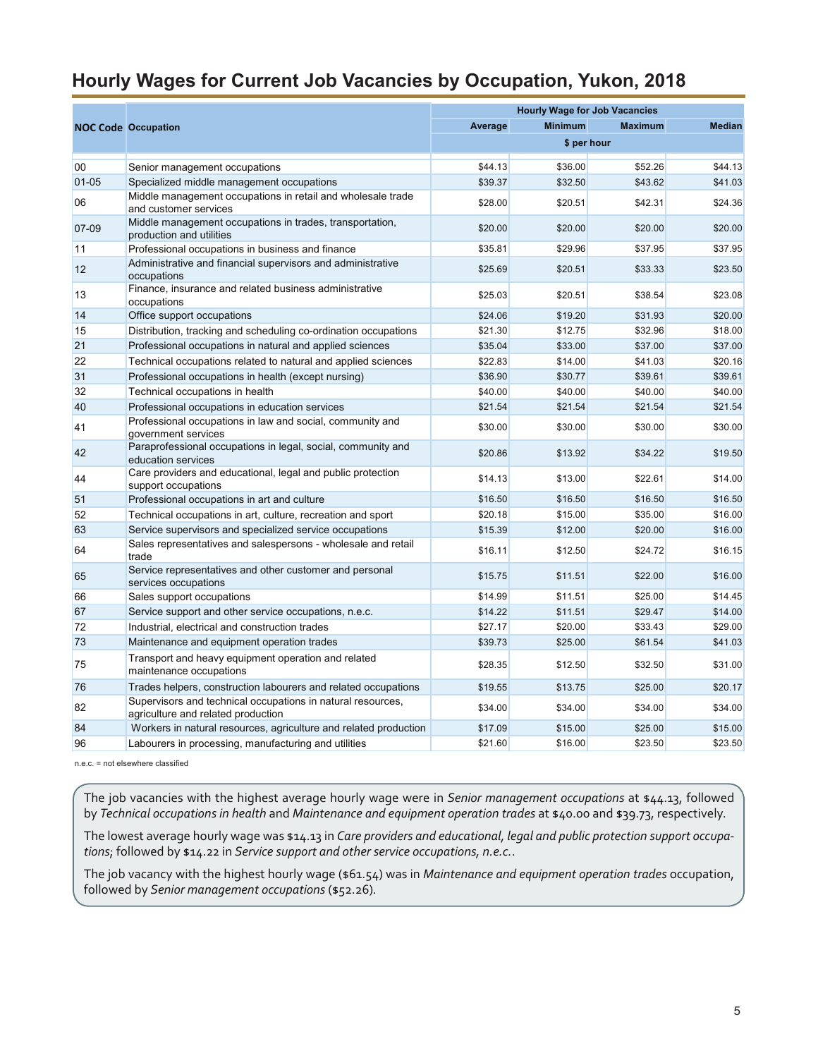#### <span id="page-4-0"></span>**Hourly Wages for Current Job Vacancies by Occupation, Yukon, 2018**

|           |                                                                                                   |         | <b>Hourly Wage for Job Vacancies</b> |                |               |
|-----------|---------------------------------------------------------------------------------------------------|---------|--------------------------------------|----------------|---------------|
|           | <b>NOC Code Occupation</b>                                                                        | Average | <b>Minimum</b>                       | <b>Maximum</b> | <b>Median</b> |
|           |                                                                                                   |         | \$ per hour                          |                |               |
| 00        | Senior management occupations                                                                     | \$44.13 | \$36.00                              | \$52.26        | \$44.13       |
| $01 - 05$ | Specialized middle management occupations                                                         | \$39.37 | \$32.50                              | \$43.62        | \$41.03       |
|           | Middle management occupations in retail and wholesale trade                                       |         |                                      |                |               |
| 06        | and customer services                                                                             | \$28.00 | \$20.51                              | \$42.31        | \$24.36       |
| 07-09     | Middle management occupations in trades, transportation,<br>production and utilities              | \$20.00 | \$20.00                              | \$20.00        | \$20.00       |
| 11        | Professional occupations in business and finance                                                  | \$35.81 | \$29.96                              | \$37.95        | \$37.95       |
| 12        | Administrative and financial supervisors and administrative<br>occupations                        | \$25.69 | \$20.51                              | \$33.33        | \$23.50       |
| 13        | Finance, insurance and related business administrative<br>occupations                             | \$25.03 | \$20.51                              | \$38.54        | \$23.08       |
| 14        | Office support occupations                                                                        | \$24.06 | \$19.20                              | \$31.93        | \$20.00       |
| 15        | Distribution, tracking and scheduling co-ordination occupations                                   | \$21.30 | \$12.75                              | \$32.96        | \$18.00       |
| 21        | Professional occupations in natural and applied sciences                                          | \$35.04 | \$33.00                              | \$37.00        | \$37.00       |
| 22        | Technical occupations related to natural and applied sciences                                     | \$22.83 | \$14.00                              | \$41.03        | \$20.16       |
| 31        | Professional occupations in health (except nursing)                                               | \$36.90 | \$30.77                              | \$39.61        | \$39.61       |
| 32        | Technical occupations in health                                                                   | \$40.00 | \$40.00                              | \$40.00        | \$40.00       |
| 40        | Professional occupations in education services                                                    | \$21.54 | \$21.54                              | \$21.54        | \$21.54       |
| 41        | Professional occupations in law and social, community and<br>government services                  | \$30.00 | \$30.00                              | \$30.00        | \$30.00       |
| 42        | Paraprofessional occupations in legal, social, community and<br>education services                | \$20.86 | \$13.92                              | \$34.22        | \$19.50       |
| 44        | Care providers and educational, legal and public protection<br>support occupations                | \$14.13 | \$13.00                              | \$22.61        | \$14.00       |
| 51        | Professional occupations in art and culture                                                       | \$16.50 | \$16.50                              | \$16.50        | \$16.50       |
| 52        | Technical occupations in art, culture, recreation and sport                                       | \$20.18 | \$15.00                              | \$35.00        | \$16.00       |
| 63        | Service supervisors and specialized service occupations                                           | \$15.39 | \$12.00                              | \$20.00        | \$16.00       |
| 64        | Sales representatives and salespersons - wholesale and retail<br>trade                            | \$16.11 | \$12.50                              | \$24.72        | \$16.15       |
| 65        | Service representatives and other customer and personal<br>services occupations                   | \$15.75 | \$11.51                              | \$22.00        | \$16.00       |
| 66        | Sales support occupations                                                                         | \$14.99 | \$11.51                              | \$25.00        | \$14.45       |
| 67        | Service support and other service occupations, n.e.c.                                             | \$14.22 | \$11.51                              | \$29.47        | \$14.00       |
| 72        | Industrial, electrical and construction trades                                                    | \$27.17 | \$20.00                              | \$33.43        | \$29.00       |
| 73        | Maintenance and equipment operation trades                                                        | \$39.73 | \$25.00                              | \$61.54        | \$41.03       |
| 75        | Transport and heavy equipment operation and related<br>maintenance occupations                    | \$28.35 | \$12.50                              | \$32.50        | \$31.00       |
| 76        | Trades helpers, construction labourers and related occupations                                    | \$19.55 | \$13.75                              | \$25.00        | \$20.17       |
| 82        | Supervisors and technical occupations in natural resources,<br>agriculture and related production | \$34.00 | \$34.00                              | \$34.00        | \$34.00       |
| 84        | Workers in natural resources, agriculture and related production                                  | \$17.09 | \$15.00                              | \$25.00        | \$15.00       |
| 96        | Labourers in processing, manufacturing and utilities                                              | \$21.60 | \$16.00                              | \$23.50        | \$23.50       |

n.e.c. = not elsewhere classified

The job vacancies with the highest average hourly wage were in *Senior management occupations* at \$44.13, followed by *Technical occupations in health* and *Maintenance and equipment operation trades* at \$40.00 and \$39.73, respectively.

The lowest average hourly wage was \$14.13 in *Care providers and educational, legal and public protection support occupations*; followed by \$14.22 in *Service support and other service occupations, n.e.c.*.

The job vacancy with the highest hourly wage (\$61.54) was in *Maintenance and equipment operation trades* occupation, followed by *Senior management occupations* (\$52.26)*.*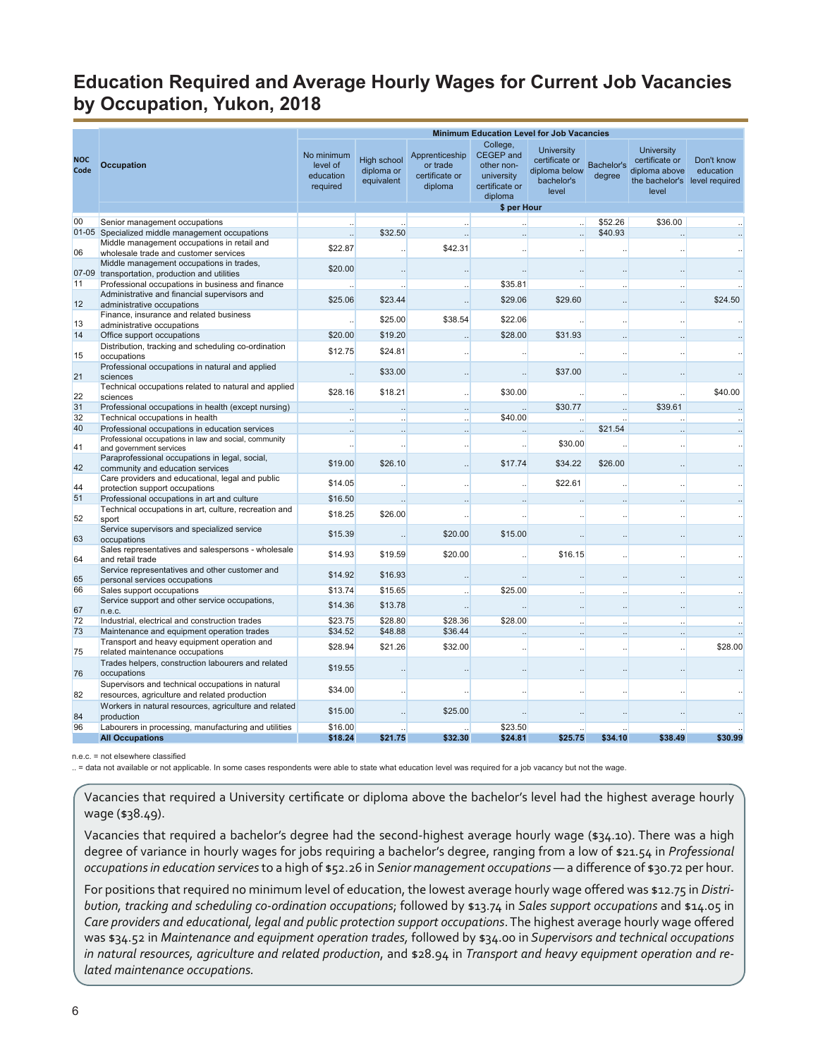# <span id="page-5-0"></span>**Education Required and Average Hourly Wages for Current Job Vacancies by Occupation, Yukon, 2018**

|                    |                                                                                                   |                                                 |                                                |                                                         | <b>Minimum Education Level for Job Vacancies</b>                               |                                                                             |                      |                                                                                                |                         |
|--------------------|---------------------------------------------------------------------------------------------------|-------------------------------------------------|------------------------------------------------|---------------------------------------------------------|--------------------------------------------------------------------------------|-----------------------------------------------------------------------------|----------------------|------------------------------------------------------------------------------------------------|-------------------------|
| <b>NOC</b><br>Code | <b>Occupation</b>                                                                                 | No minimum<br>level of<br>education<br>required | <b>High school</b><br>diploma or<br>equivalent | Apprenticeship<br>or trade<br>certificate or<br>diploma | College,<br>CEGEP and<br>other non-<br>university<br>certificate or<br>diploma | <b>University</b><br>certificate or<br>diploma below<br>bachelor's<br>level | Bachelor's<br>degree | <b>University</b><br>certificate or<br>diploma above<br>the bachelor's level required<br>level | Don't know<br>education |
|                    |                                                                                                   |                                                 |                                                |                                                         | \$ per Hour                                                                    |                                                                             |                      |                                                                                                |                         |
| 00                 | Senior management occupations                                                                     |                                                 |                                                |                                                         |                                                                                |                                                                             | \$52.26              | \$36.00                                                                                        |                         |
|                    | 01-05 Specialized middle management occupations                                                   | $\ddot{\phantom{a}}$                            | \$32.50                                        |                                                         |                                                                                | $\ddotsc$                                                                   | \$40.93              |                                                                                                |                         |
| 06                 | Middle management occupations in retail and<br>wholesale trade and customer services              | \$22.87                                         |                                                | \$42.31                                                 |                                                                                |                                                                             |                      |                                                                                                |                         |
|                    | Middle management occupations in trades,<br>07-09 transportation, production and utilities        | \$20.00                                         |                                                |                                                         |                                                                                | $\ddotsc$                                                                   |                      |                                                                                                |                         |
| 11                 | Professional occupations in business and finance                                                  |                                                 |                                                |                                                         | \$35.81                                                                        |                                                                             |                      |                                                                                                |                         |
| 12                 | Administrative and financial supervisors and<br>administrative occupations                        | \$25.06                                         | \$23.44                                        |                                                         | \$29.06                                                                        | \$29.60                                                                     |                      |                                                                                                | \$24.50                 |
|                    | Finance, insurance and related business                                                           |                                                 | \$25.00                                        | \$38.54                                                 | \$22.06                                                                        |                                                                             |                      |                                                                                                |                         |
| 13                 | administrative occupations                                                                        |                                                 |                                                |                                                         |                                                                                |                                                                             |                      |                                                                                                |                         |
| 14                 | Office support occupations                                                                        | \$20.00                                         | \$19.20                                        |                                                         | \$28.00                                                                        | \$31.93                                                                     |                      |                                                                                                |                         |
| 15                 | Distribution, tracking and scheduling co-ordination<br>occupations                                | \$12.75                                         | \$24.81                                        |                                                         |                                                                                |                                                                             |                      |                                                                                                |                         |
| 21                 | Professional occupations in natural and applied<br>sciences                                       | $\ddotsc$                                       | \$33.00                                        |                                                         |                                                                                | \$37.00                                                                     |                      |                                                                                                |                         |
| 22                 | Technical occupations related to natural and applied<br>sciences                                  | \$28.16                                         | \$18.21                                        |                                                         | \$30.00                                                                        |                                                                             | $\ddotsc$            |                                                                                                | \$40.00                 |
| 31                 | Professional occupations in health (except nursing)                                               |                                                 |                                                |                                                         |                                                                                | \$30.77                                                                     |                      | \$39.61                                                                                        |                         |
| 32                 | Technical occupations in health                                                                   |                                                 |                                                |                                                         | \$40.00                                                                        |                                                                             |                      |                                                                                                |                         |
| 40                 | Professional occupations in education services                                                    | $\ddotsc$                                       |                                                | ш.                                                      |                                                                                | $\ddot{\phantom{a}}$                                                        | \$21.54              |                                                                                                |                         |
| 41                 | Professional occupations in law and social, community<br>and government services                  |                                                 |                                                |                                                         |                                                                                | \$30.00                                                                     |                      |                                                                                                |                         |
| 42                 | Paraprofessional occupations in legal, social,<br>community and education services                | \$19.00                                         | \$26.10                                        |                                                         | \$17.74                                                                        | \$34.22                                                                     | \$26.00              |                                                                                                |                         |
| 44                 | Care providers and educational, legal and public<br>protection support occupations                | \$14.05                                         |                                                |                                                         |                                                                                | \$22.61                                                                     |                      |                                                                                                |                         |
| 51                 | Professional occupations in art and culture                                                       | \$16.50                                         |                                                |                                                         |                                                                                |                                                                             |                      |                                                                                                |                         |
|                    | Technical occupations in art, culture, recreation and                                             | \$18.25                                         | \$26.00                                        |                                                         |                                                                                |                                                                             |                      |                                                                                                |                         |
| 52                 | sport                                                                                             |                                                 |                                                |                                                         |                                                                                |                                                                             |                      |                                                                                                |                         |
| 63                 | Service supervisors and specialized service<br>occupations                                        | \$15.39                                         |                                                | \$20.00                                                 | \$15.00                                                                        |                                                                             |                      |                                                                                                |                         |
| 64                 | Sales representatives and salespersons - wholesale<br>and retail trade                            | \$14.93                                         | \$19.59                                        | \$20.00                                                 | $\ddotsc$                                                                      | \$16.15                                                                     |                      |                                                                                                |                         |
| 65                 | Service representatives and other customer and<br>personal services occupations                   | \$14.92                                         | \$16.93                                        |                                                         |                                                                                | $\cdot$                                                                     | $\cdot \cdot$        |                                                                                                |                         |
| 66                 | Sales support occupations                                                                         | \$13.74                                         | \$15.65                                        |                                                         | \$25.00                                                                        |                                                                             |                      |                                                                                                |                         |
| 67                 | Service support and other service occupations,<br>n.e.c.                                          | \$14.36                                         | \$13.78                                        |                                                         |                                                                                | $\ddotsc$                                                                   | $\ddotsc$            |                                                                                                | ш.                      |
| 72                 | Industrial, electrical and construction trades                                                    | \$23.75                                         | \$28.80                                        | \$28.36                                                 | \$28.00                                                                        |                                                                             |                      |                                                                                                |                         |
| 73                 | Maintenance and equipment operation trades                                                        | \$34.52                                         | \$48.88                                        | \$36.44                                                 |                                                                                |                                                                             |                      |                                                                                                |                         |
| 75                 | Transport and heavy equipment operation and                                                       | \$28.94                                         | \$21.26                                        | \$32.00                                                 |                                                                                |                                                                             |                      |                                                                                                | \$28.00                 |
|                    | related maintenance occupations<br>Trades helpers, construction labourers and related             | \$19.55                                         |                                                |                                                         | $\ddotsc$                                                                      | $\ddotsc$                                                                   |                      |                                                                                                |                         |
| 76                 | occupations                                                                                       |                                                 |                                                |                                                         |                                                                                |                                                                             |                      |                                                                                                |                         |
| 82                 | Supervisors and technical occupations in natural<br>resources, agriculture and related production | \$34.00                                         |                                                |                                                         |                                                                                |                                                                             |                      |                                                                                                |                         |
| 84                 | Workers in natural resources, agriculture and related<br>production                               | \$15.00                                         |                                                | \$25.00                                                 |                                                                                |                                                                             |                      |                                                                                                |                         |
| 96                 | Labourers in processing, manufacturing and utilities                                              | \$16.00                                         |                                                |                                                         | \$23.50                                                                        |                                                                             |                      |                                                                                                |                         |
|                    | <b>All Occupations</b>                                                                            | \$18.24                                         | \$21.75                                        | \$32.30                                                 | \$24.81                                                                        | \$25.75                                                                     | \$34.10              | \$38.49                                                                                        | \$30.99                 |

n.e.c. = not elsewhere classified

.. = data not available or not applicable. In some cases respondents were able to state what education level was required for a job vacancy but not the wage.

Vacancies that required a University certificate or diploma above the bachelor's level had the highest average hourly wage (\$38.49).

Vacancies that required a bachelor's degree had the second-highest average hourly wage (\$34.10). There was a high degree of variance in hourly wages for jobs requiring a bachelor's degree, ranging from a low of \$21.54 in *Professional occupations in education services* to a high of \$52.26 in *Senior management occupations* — a difference of \$30.72 per hour.

For positions that required no minimum level of education, the lowest average hourly wage offered was \$12.75 in *Distribution, tracking and scheduling co-ordination occupations*; followed by \$13.74 in *Sales support occupations* and \$14.05 in *Care providers and educational, legal and public protection support occupations*. The highest average hourly wage offered was \$34.52 in *Maintenance and equipment operation trades,* followed by \$34.00 in *Supervisors and technical occupations in natural resources, agriculture and related production*, and \$28.94 in *Transport and heavy equipment operation and related maintenance occupations.*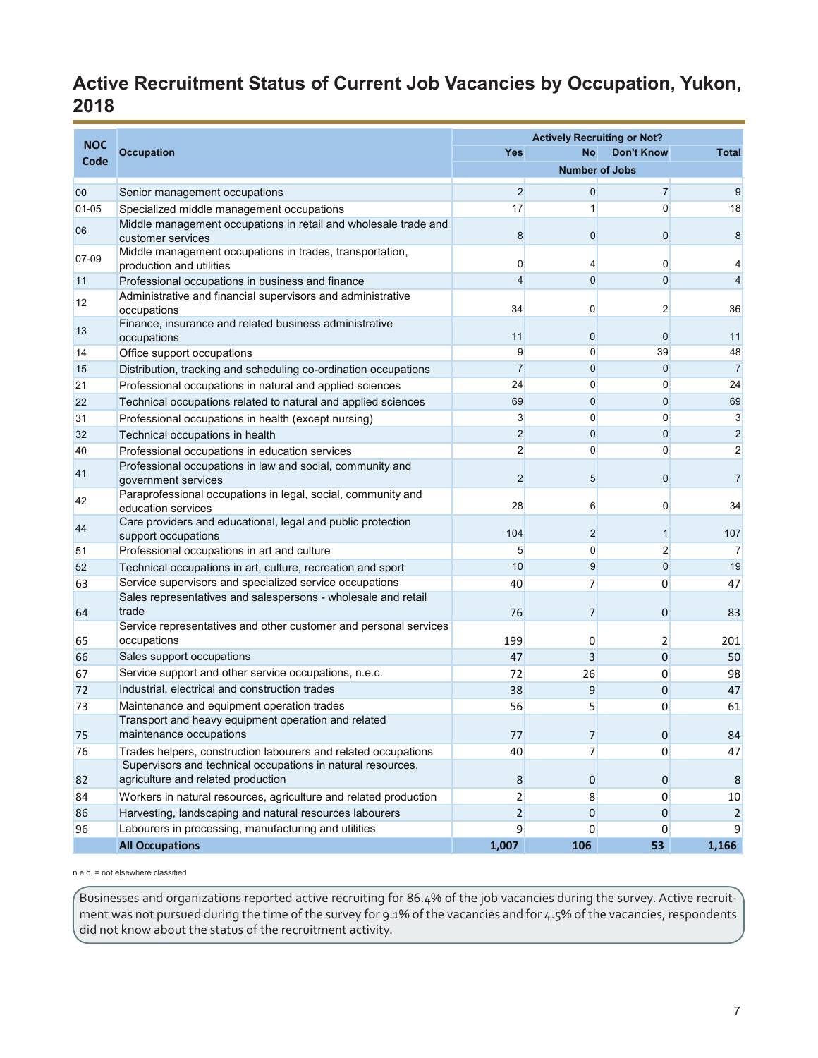# <span id="page-6-0"></span>**Active Recruitment Status of Current Job Vacancies by Occupation, Yukon, 2018**

| <b>Occupation</b><br>Yes<br><b>No</b><br><b>Don't Know</b><br>Code<br><b>Number of Jobs</b><br>$\overline{2}$<br>$\overline{0}$<br>$\overline{7}$<br>00<br>Senior management occupations<br>17<br>$\overline{0}$<br>1<br>$01 - 05$<br>Specialized middle management occupations<br>Middle management occupations in retail and wholesale trade and<br>06<br>8<br>$\mathbf 0$<br>$\mathbf{0}$<br>customer services<br>Middle management occupations in trades, transportation,<br>07-09<br>$\overline{0}$<br>$\mathbf{0}$<br>4<br>production and utilities<br>$\overline{4}$<br>$\mathbf 0$<br>$\overline{0}$<br>Professional occupations in business and finance<br>11<br>Administrative and financial supervisors and administrative<br>12<br>34<br>0<br>$\overline{2}$<br>occupations<br>Finance, insurance and related business administrative<br>13<br>11<br>$\mathbf 0$<br>$\mathbf 0$<br>occupations<br>9<br>$\mathbf 0$<br>39<br>Office support occupations<br>14<br>$\overline{7}$<br>$\mathbf 0$<br>$\overline{0}$<br>Distribution, tracking and scheduling co-ordination occupations<br>15<br>24<br>$\overline{0}$<br>0<br>21<br>Professional occupations in natural and applied sciences<br>69<br>$\mathbf 0$<br>$\mathbf{0}$<br>22<br>Technical occupations related to natural and applied sciences<br>$\mathbf{3}$<br>0<br>$\overline{0}$<br>31<br>Professional occupations in health (except nursing)<br>$\overline{2}$<br>$\mathbf 0$<br>$\overline{0}$<br>32<br>Technical occupations in health<br>$\overline{2}$<br>$\mathbf 0$<br>$\mathbf{0}$<br>40<br>Professional occupations in education services<br>Professional occupations in law and social, community and<br>41<br>$\overline{2}$<br>$\mathbf{0}$<br>5<br>government services<br>Paraprofessional occupations in legal, social, community and |    | <b>NOC</b> |  | <b>Actively Recruiting or Not?</b> |  |                 |  |  |  |
|---------------------------------------------------------------------------------------------------------------------------------------------------------------------------------------------------------------------------------------------------------------------------------------------------------------------------------------------------------------------------------------------------------------------------------------------------------------------------------------------------------------------------------------------------------------------------------------------------------------------------------------------------------------------------------------------------------------------------------------------------------------------------------------------------------------------------------------------------------------------------------------------------------------------------------------------------------------------------------------------------------------------------------------------------------------------------------------------------------------------------------------------------------------------------------------------------------------------------------------------------------------------------------------------------------------------------------------------------------------------------------------------------------------------------------------------------------------------------------------------------------------------------------------------------------------------------------------------------------------------------------------------------------------------------------------------------------------------------------------------------------------------------------------------------------------------------|----|------------|--|------------------------------------|--|-----------------|--|--|--|
|                                                                                                                                                                                                                                                                                                                                                                                                                                                                                                                                                                                                                                                                                                                                                                                                                                                                                                                                                                                                                                                                                                                                                                                                                                                                                                                                                                                                                                                                                                                                                                                                                                                                                                                                                                                                                           |    |            |  |                                    |  | <b>Total</b>    |  |  |  |
|                                                                                                                                                                                                                                                                                                                                                                                                                                                                                                                                                                                                                                                                                                                                                                                                                                                                                                                                                                                                                                                                                                                                                                                                                                                                                                                                                                                                                                                                                                                                                                                                                                                                                                                                                                                                                           |    |            |  |                                    |  |                 |  |  |  |
|                                                                                                                                                                                                                                                                                                                                                                                                                                                                                                                                                                                                                                                                                                                                                                                                                                                                                                                                                                                                                                                                                                                                                                                                                                                                                                                                                                                                                                                                                                                                                                                                                                                                                                                                                                                                                           |    |            |  |                                    |  | 9               |  |  |  |
|                                                                                                                                                                                                                                                                                                                                                                                                                                                                                                                                                                                                                                                                                                                                                                                                                                                                                                                                                                                                                                                                                                                                                                                                                                                                                                                                                                                                                                                                                                                                                                                                                                                                                                                                                                                                                           |    |            |  |                                    |  | 18              |  |  |  |
|                                                                                                                                                                                                                                                                                                                                                                                                                                                                                                                                                                                                                                                                                                                                                                                                                                                                                                                                                                                                                                                                                                                                                                                                                                                                                                                                                                                                                                                                                                                                                                                                                                                                                                                                                                                                                           |    |            |  |                                    |  | 8               |  |  |  |
|                                                                                                                                                                                                                                                                                                                                                                                                                                                                                                                                                                                                                                                                                                                                                                                                                                                                                                                                                                                                                                                                                                                                                                                                                                                                                                                                                                                                                                                                                                                                                                                                                                                                                                                                                                                                                           |    |            |  |                                    |  | $\overline{4}$  |  |  |  |
|                                                                                                                                                                                                                                                                                                                                                                                                                                                                                                                                                                                                                                                                                                                                                                                                                                                                                                                                                                                                                                                                                                                                                                                                                                                                                                                                                                                                                                                                                                                                                                                                                                                                                                                                                                                                                           |    |            |  |                                    |  | $\overline{4}$  |  |  |  |
|                                                                                                                                                                                                                                                                                                                                                                                                                                                                                                                                                                                                                                                                                                                                                                                                                                                                                                                                                                                                                                                                                                                                                                                                                                                                                                                                                                                                                                                                                                                                                                                                                                                                                                                                                                                                                           |    |            |  |                                    |  | 36              |  |  |  |
|                                                                                                                                                                                                                                                                                                                                                                                                                                                                                                                                                                                                                                                                                                                                                                                                                                                                                                                                                                                                                                                                                                                                                                                                                                                                                                                                                                                                                                                                                                                                                                                                                                                                                                                                                                                                                           |    |            |  |                                    |  | 11              |  |  |  |
|                                                                                                                                                                                                                                                                                                                                                                                                                                                                                                                                                                                                                                                                                                                                                                                                                                                                                                                                                                                                                                                                                                                                                                                                                                                                                                                                                                                                                                                                                                                                                                                                                                                                                                                                                                                                                           |    |            |  |                                    |  | 48              |  |  |  |
|                                                                                                                                                                                                                                                                                                                                                                                                                                                                                                                                                                                                                                                                                                                                                                                                                                                                                                                                                                                                                                                                                                                                                                                                                                                                                                                                                                                                                                                                                                                                                                                                                                                                                                                                                                                                                           |    |            |  |                                    |  | $\overline{7}$  |  |  |  |
|                                                                                                                                                                                                                                                                                                                                                                                                                                                                                                                                                                                                                                                                                                                                                                                                                                                                                                                                                                                                                                                                                                                                                                                                                                                                                                                                                                                                                                                                                                                                                                                                                                                                                                                                                                                                                           |    |            |  |                                    |  | 24              |  |  |  |
|                                                                                                                                                                                                                                                                                                                                                                                                                                                                                                                                                                                                                                                                                                                                                                                                                                                                                                                                                                                                                                                                                                                                                                                                                                                                                                                                                                                                                                                                                                                                                                                                                                                                                                                                                                                                                           |    |            |  |                                    |  | 69              |  |  |  |
|                                                                                                                                                                                                                                                                                                                                                                                                                                                                                                                                                                                                                                                                                                                                                                                                                                                                                                                                                                                                                                                                                                                                                                                                                                                                                                                                                                                                                                                                                                                                                                                                                                                                                                                                                                                                                           |    |            |  |                                    |  | $\mathbf{3}$    |  |  |  |
|                                                                                                                                                                                                                                                                                                                                                                                                                                                                                                                                                                                                                                                                                                                                                                                                                                                                                                                                                                                                                                                                                                                                                                                                                                                                                                                                                                                                                                                                                                                                                                                                                                                                                                                                                                                                                           |    |            |  |                                    |  | 2               |  |  |  |
|                                                                                                                                                                                                                                                                                                                                                                                                                                                                                                                                                                                                                                                                                                                                                                                                                                                                                                                                                                                                                                                                                                                                                                                                                                                                                                                                                                                                                                                                                                                                                                                                                                                                                                                                                                                                                           |    |            |  |                                    |  | $\overline{2}$  |  |  |  |
|                                                                                                                                                                                                                                                                                                                                                                                                                                                                                                                                                                                                                                                                                                                                                                                                                                                                                                                                                                                                                                                                                                                                                                                                                                                                                                                                                                                                                                                                                                                                                                                                                                                                                                                                                                                                                           |    |            |  |                                    |  | $\overline{7}$  |  |  |  |
| 28<br>$\mathbf{0}$<br>6<br>education services                                                                                                                                                                                                                                                                                                                                                                                                                                                                                                                                                                                                                                                                                                                                                                                                                                                                                                                                                                                                                                                                                                                                                                                                                                                                                                                                                                                                                                                                                                                                                                                                                                                                                                                                                                             | 42 |            |  |                                    |  | 34              |  |  |  |
| Care providers and educational, legal and public protection<br>44<br>104<br>$\overline{2}$<br>$\mathbf{1}$<br>support occupations                                                                                                                                                                                                                                                                                                                                                                                                                                                                                                                                                                                                                                                                                                                                                                                                                                                                                                                                                                                                                                                                                                                                                                                                                                                                                                                                                                                                                                                                                                                                                                                                                                                                                         |    |            |  |                                    |  | 107             |  |  |  |
| $\overline{2}$<br>$\overline{0}$<br>$5\overline{)}$<br>51<br>Professional occupations in art and culture                                                                                                                                                                                                                                                                                                                                                                                                                                                                                                                                                                                                                                                                                                                                                                                                                                                                                                                                                                                                                                                                                                                                                                                                                                                                                                                                                                                                                                                                                                                                                                                                                                                                                                                  |    |            |  |                                    |  | $\overline{7}$  |  |  |  |
| 10<br>9<br>$\overline{0}$<br>Technical occupations in art, culture, recreation and sport<br>52                                                                                                                                                                                                                                                                                                                                                                                                                                                                                                                                                                                                                                                                                                                                                                                                                                                                                                                                                                                                                                                                                                                                                                                                                                                                                                                                                                                                                                                                                                                                                                                                                                                                                                                            |    |            |  |                                    |  | 19              |  |  |  |
| Service supervisors and specialized service occupations<br>63<br>40<br>7<br>$\overline{0}$                                                                                                                                                                                                                                                                                                                                                                                                                                                                                                                                                                                                                                                                                                                                                                                                                                                                                                                                                                                                                                                                                                                                                                                                                                                                                                                                                                                                                                                                                                                                                                                                                                                                                                                                |    |            |  |                                    |  | 47              |  |  |  |
| Sales representatives and salespersons - wholesale and retail<br>trade<br>76<br>0<br>64<br>7                                                                                                                                                                                                                                                                                                                                                                                                                                                                                                                                                                                                                                                                                                                                                                                                                                                                                                                                                                                                                                                                                                                                                                                                                                                                                                                                                                                                                                                                                                                                                                                                                                                                                                                              |    |            |  |                                    |  | 83              |  |  |  |
| Service representatives and other customer and personal services<br>occupations<br>199<br>0<br>2<br>65                                                                                                                                                                                                                                                                                                                                                                                                                                                                                                                                                                                                                                                                                                                                                                                                                                                                                                                                                                                                                                                                                                                                                                                                                                                                                                                                                                                                                                                                                                                                                                                                                                                                                                                    |    |            |  |                                    |  | 201             |  |  |  |
| Sales support occupations<br>47<br>3<br>$\mathbf 0$<br>66                                                                                                                                                                                                                                                                                                                                                                                                                                                                                                                                                                                                                                                                                                                                                                                                                                                                                                                                                                                                                                                                                                                                                                                                                                                                                                                                                                                                                                                                                                                                                                                                                                                                                                                                                                 |    |            |  |                                    |  | 50              |  |  |  |
| Service support and other service occupations, n.e.c.<br>72<br>0<br>67<br>26                                                                                                                                                                                                                                                                                                                                                                                                                                                                                                                                                                                                                                                                                                                                                                                                                                                                                                                                                                                                                                                                                                                                                                                                                                                                                                                                                                                                                                                                                                                                                                                                                                                                                                                                              |    |            |  |                                    |  | 98              |  |  |  |
| Industrial, electrical and construction trades<br>38<br>9<br>72<br>0                                                                                                                                                                                                                                                                                                                                                                                                                                                                                                                                                                                                                                                                                                                                                                                                                                                                                                                                                                                                                                                                                                                                                                                                                                                                                                                                                                                                                                                                                                                                                                                                                                                                                                                                                      |    |            |  |                                    |  | 47              |  |  |  |
| Maintenance and equipment operation trades<br>73<br>56<br>5<br>0                                                                                                                                                                                                                                                                                                                                                                                                                                                                                                                                                                                                                                                                                                                                                                                                                                                                                                                                                                                                                                                                                                                                                                                                                                                                                                                                                                                                                                                                                                                                                                                                                                                                                                                                                          |    |            |  |                                    |  | 61              |  |  |  |
| Transport and heavy equipment operation and related<br>maintenance occupations<br>75<br>77<br>$\overline{7}$<br>$\boldsymbol{0}$                                                                                                                                                                                                                                                                                                                                                                                                                                                                                                                                                                                                                                                                                                                                                                                                                                                                                                                                                                                                                                                                                                                                                                                                                                                                                                                                                                                                                                                                                                                                                                                                                                                                                          |    |            |  |                                    |  | 84              |  |  |  |
| 76<br>Trades helpers, construction labourers and related occupations<br>40<br>7<br>$\overline{0}$                                                                                                                                                                                                                                                                                                                                                                                                                                                                                                                                                                                                                                                                                                                                                                                                                                                                                                                                                                                                                                                                                                                                                                                                                                                                                                                                                                                                                                                                                                                                                                                                                                                                                                                         |    |            |  |                                    |  | 47              |  |  |  |
| Supervisors and technical occupations in natural resources,<br>agriculture and related production<br>8<br>$\overline{0}$<br>82<br>$\overline{0}$                                                                                                                                                                                                                                                                                                                                                                                                                                                                                                                                                                                                                                                                                                                                                                                                                                                                                                                                                                                                                                                                                                                                                                                                                                                                                                                                                                                                                                                                                                                                                                                                                                                                          |    |            |  |                                    |  | 8               |  |  |  |
| Workers in natural resources, agriculture and related production<br>$\overline{2}$<br>84<br>8<br>$\overline{0}$                                                                                                                                                                                                                                                                                                                                                                                                                                                                                                                                                                                                                                                                                                                                                                                                                                                                                                                                                                                                                                                                                                                                                                                                                                                                                                                                                                                                                                                                                                                                                                                                                                                                                                           |    |            |  |                                    |  | 10 <sub>2</sub> |  |  |  |
| Harvesting, landscaping and natural resources labourers<br>86<br>$\overline{2}$<br>0<br>$\overline{0}$                                                                                                                                                                                                                                                                                                                                                                                                                                                                                                                                                                                                                                                                                                                                                                                                                                                                                                                                                                                                                                                                                                                                                                                                                                                                                                                                                                                                                                                                                                                                                                                                                                                                                                                    |    |            |  |                                    |  | $\overline{2}$  |  |  |  |
| Labourers in processing, manufacturing and utilities<br>96<br>9<br>$\overline{0}$<br>$\overline{0}$                                                                                                                                                                                                                                                                                                                                                                                                                                                                                                                                                                                                                                                                                                                                                                                                                                                                                                                                                                                                                                                                                                                                                                                                                                                                                                                                                                                                                                                                                                                                                                                                                                                                                                                       |    |            |  |                                    |  | $\overline{9}$  |  |  |  |
| <b>All Occupations</b><br>1,007<br>106<br>53                                                                                                                                                                                                                                                                                                                                                                                                                                                                                                                                                                                                                                                                                                                                                                                                                                                                                                                                                                                                                                                                                                                                                                                                                                                                                                                                                                                                                                                                                                                                                                                                                                                                                                                                                                              |    |            |  |                                    |  | 1,166           |  |  |  |

n.e.c. = not elsewhere classified

Businesses and organizations reported active recruiting for 86.4% of the job vacancies during the survey. Active recruitment was not pursued during the time of the survey for 9.1% of the vacancies and for 4.5% of the vacancies, respondents did not know about the status of the recruitment activity.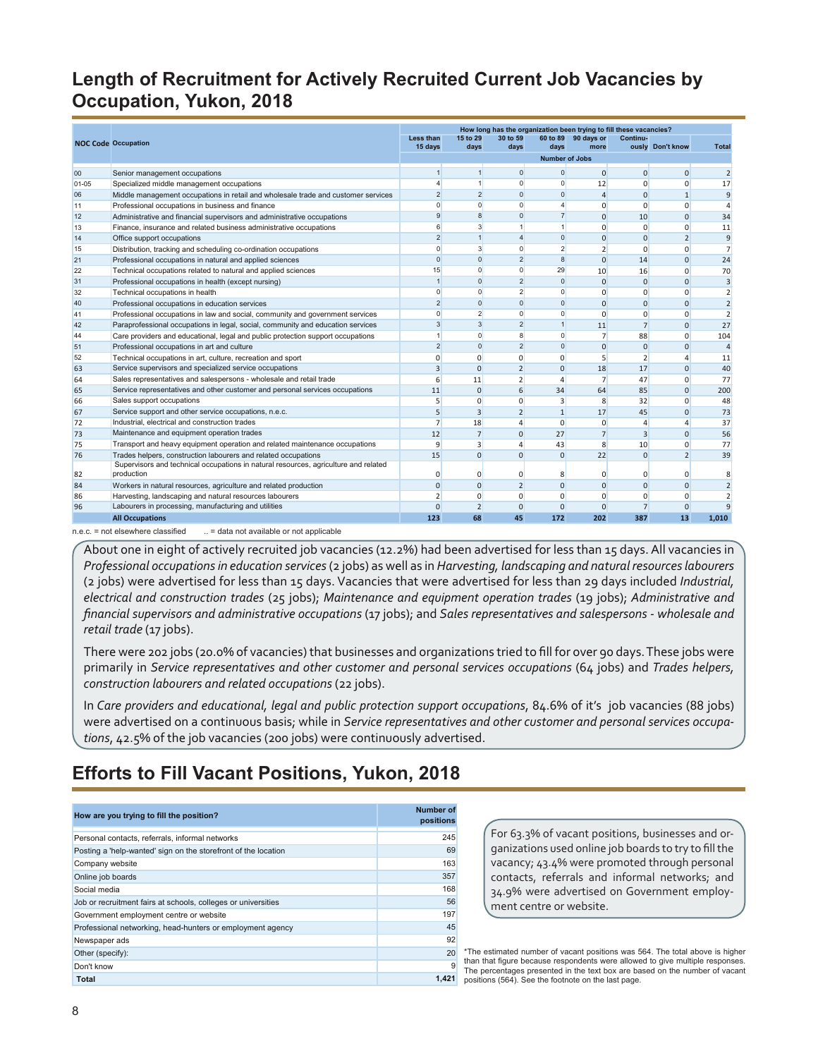# <span id="page-7-0"></span>**Length of Recruitment for Actively Recruited Current Job Vacancies by Occupation, Yukon, 2018**

|           |                                                                                     |                         |                |                |                       | How long has the organization been trying to fill these vacancies? |                |                  |                |
|-----------|-------------------------------------------------------------------------------------|-------------------------|----------------|----------------|-----------------------|--------------------------------------------------------------------|----------------|------------------|----------------|
|           | <b>NOC Code Occupation</b>                                                          | Less than               | 15 to 29       | 30 to 59       |                       | 60 to 89 90 days or                                                | Continu-       |                  |                |
|           |                                                                                     | 15 days                 | days           | days           | days                  | more                                                               |                | ously Don't know | <b>Total</b>   |
|           |                                                                                     |                         |                |                | <b>Number of Jobs</b> |                                                                    |                |                  |                |
| 00        | Senior management occupations                                                       | $\mathbf{1}$            | 1              | $\mathbf{0}$   | $\Omega$              | $\Omega$                                                           | $\overline{0}$ | $\Omega$         |                |
| $01 - 05$ | Specialized middle management occupations                                           | 4                       | 1              | $\mathbf{0}$   | $\mathbf{0}$          | 12                                                                 | $\mathbf 0$    | $\mathbf 0$      | 17             |
| 06        | Middle management occupations in retail and wholesale trade and customer services   | $\overline{2}$          | $\overline{2}$ | $\mathbf{0}$   | $\Omega$              | $\Delta$                                                           | $\Omega$       | $\mathbf{1}$     | $\mathbf{q}$   |
| 11        | Professional occupations in business and finance                                    | $\Omega$                | $\Omega$       | $\mathbf 0$    | $\overline{4}$        | $\Omega$                                                           | $\mathbf 0$    | $\mathbf 0$      |                |
| 12        | Administrative and financial supervisors and administrative occupations             | 9                       | $\mathbf{8}$   | $\mathbf{0}$   | $\overline{7}$        | $\Omega$                                                           | 10             | $\Omega$         | 34             |
| 13        | Finance, insurance and related business administrative occupations                  | 6                       | 3              | $\mathbf{1}$   | 1                     | $\Omega$                                                           | 0              | $\Omega$         | 11             |
| 14        | Office support occupations                                                          | $\overline{2}$          | $\mathbf{1}$   | $\overline{4}$ | $\Omega$              | $\Omega$                                                           | $\mathbf{0}$   | $\overline{2}$   | 9              |
| 15        | Distribution, tracking and scheduling co-ordination occupations                     | $\Omega$                | $\mathbf{3}$   | $\mathbf{0}$   | $\overline{2}$        | $\overline{2}$                                                     | 0              | $\Omega$         | 7              |
| 21        | Professional occupations in natural and applied sciences                            | $\Omega$                | $\Omega$       | $\overline{2}$ | $\mathbf{8}$          | $\Omega$                                                           | 14             | $\Omega$         | 24             |
| 22        | Technical occupations related to natural and applied sciences                       | 15                      | $\Omega$       | $\mathbf{0}$   | 29                    | 10                                                                 | 16             | $\Omega$         | 70             |
| 31        | Professional occupations in health (except nursing)                                 | $\overline{1}$          | $\Omega$       | $\overline{2}$ | $\Omega$              | $\Omega$                                                           | $\mathbf{0}$   | $\Omega$         | $\overline{3}$ |
| 32        | Technical occupations in health                                                     | $\Omega$                | $\Omega$       | $\overline{2}$ | $\mathbf{0}$          | $\Omega$                                                           | $\mathbf{0}$   | $\Omega$         | $\overline{2}$ |
| 40        | Professional occupations in education services                                      | $\overline{2}$          | $\Omega$       | $\Omega$       | $\Omega$              | $\Omega$                                                           | $\mathbf{0}$   | $\Omega$         | 2              |
| 41        | Professional occupations in law and social, community and government services       | $\overline{0}$          | $\overline{2}$ | $\mathbf{0}$   | $\mathbf{0}$          | $\Omega$                                                           | $\mathbf{0}$   | $\Omega$         | 2              |
| 42        | Paraprofessional occupations in legal, social, community and education services     | $\overline{\mathbf{3}}$ | $\mathbf{3}$   | $\overline{2}$ | $\mathbf{1}$          | 11                                                                 | $\overline{7}$ | $\overline{0}$   | 27             |
| 44        | Care providers and educational, legal and public protection support occupations     | 1                       | $\Omega$       | 8              | $\Omega$              | $\overline{7}$                                                     | 88             | $\Omega$         | 104            |
| 51        | Professional occupations in art and culture                                         | $\overline{2}$          | $\Omega$       | $\overline{2}$ | $\Omega$              | $\Omega$                                                           | $\mathbf{0}$   | $\overline{0}$   | $\overline{4}$ |
| 52        | Technical occupations in art, culture, recreation and sport                         | $\Omega$                | $\Omega$       | $\overline{0}$ | $\Omega$              | 5                                                                  | $\overline{2}$ | $\Delta$         | 11             |
| 63        | Service supervisors and specialized service occupations                             | 3                       | $\Omega$       | $\overline{2}$ | $\Omega$              | 18                                                                 | 17             | $\Omega$         | 40             |
| 64        | Sales representatives and salespersons - wholesale and retail trade                 | 6                       | 11             | $\overline{2}$ | $\overline{4}$        | $\overline{7}$                                                     | 47             | $\Omega$         | 77             |
| 65        | Service representatives and other customer and personal services occupations        | 11                      | $\Omega$       | 6              | 34                    | 64                                                                 | 85             | $\Omega$         | 200            |
| 66        | Sales support occupations                                                           | 5                       | $\Omega$       | $\overline{0}$ | 3                     | 8                                                                  | 32             | $\Omega$         | 48             |
| 67        | Service support and other service occupations, n.e.c.                               | 5                       | 3              | $\overline{2}$ | $\mathbf{1}$          | 17                                                                 | 45             | $\Omega$         | 73             |
| 72        | Industrial, electrical and construction trades                                      | 7                       | 18             | 4              | $\Omega$              | $\Omega$                                                           | $\overline{4}$ | $\Delta$         | 37             |
| 73        | Maintenance and equipment operation trades                                          | 12                      | $\overline{7}$ | $\overline{0}$ | 27                    | $\overline{7}$                                                     | 3              | $\Omega$         | 56             |
| 75        | Transport and heavy equipment operation and related maintenance occupations         | $\mathbf{q}$            | 3              | 4              | 43                    | 8                                                                  | 10             | $\Omega$         | 77             |
| 76        | Trades helpers, construction labourers and related occupations                      | 15                      | $\Omega$       | $\overline{0}$ | $\Omega$              | 22                                                                 | $\mathbf{0}$   | 2                | 39             |
|           | Supervisors and technical occupations in natural resources, agriculture and related |                         |                |                |                       |                                                                    |                |                  |                |
| 82        | production                                                                          | $\Omega$                | n              | 0              | 8                     | $\Omega$                                                           | 0              | 0                | 8              |
| 84        | Workers in natural resources, agriculture and related production                    | $\Omega$                | $\Omega$       | $\overline{2}$ | $\Omega$              | $\Omega$                                                           | $\mathbf{0}$   | $\Omega$         | $\overline{2}$ |
| 86        | Harvesting, landscaping and natural resources labourers                             | $\overline{2}$          | $\Omega$       | 0              | $\Omega$              | $\Omega$                                                           | $\mathbf 0$    | $\Omega$         | $\overline{2}$ |
| 96        | Labourers in processing, manufacturing and utilities                                | $\Omega$                | $\overline{2}$ | $\Omega$       | $\Omega$              | $\Omega$                                                           | $\overline{7}$ | $\mathbf 0$      |                |
|           | <b>All Occupations</b>                                                              | 123                     | 68             | 45             | 172                   | 202                                                                | 387            | 13               | 1.010          |

n.e.c. = not elsewhere classified ... = data not available or not applicable

About one in eight of actively recruited job vacancies (12.2%) had been advertised for less than 15 days. All vacancies in *Professional occupations in education services* (2 jobs) as well as in *Harvesting, landscaping and natural resources labourers* (2 jobs) were advertised for less than 15 days. Vacancies that were advertised for less than 29 days included *Industrial, electrical and construction trades* (25 jobs); *Maintenance and equipment operation trades* (19 jobs); *Administrative and financial supervisors and administrative occupations* (17 jobs); and *Sales representatives and salespersons - wholesale and retail trade* (17 jobs).

There were 202 jobs (20.0% of vacancies) that businesses and organizations tried to fill for over 90 days. These jobs were primarily in *Service representatives and other customer and personal services occupations* (64 jobs) and *Trades helpers, construction labourers and related occupations* (22 jobs).

In *Care providers and educational, legal and public protection support occupations*, 84.6% of it's job vacancies (88 jobs) were advertised on a continuous basis; while in *Service representatives and other customer and personal services occupations*, 42.5% of the job vacancies (200 jobs) were continuously advertised.

# **Efforts to Fill Vacant Positions, Yukon, 2018**

| How are you trying to fill the position?                       | <b>Number of</b><br>positions |
|----------------------------------------------------------------|-------------------------------|
| Personal contacts, referrals, informal networks                | 245                           |
| Posting a 'help-wanted' sign on the storefront of the location | 69                            |
| Company website                                                | 163                           |
| Online job boards                                              | 357                           |
| Social media                                                   | 168                           |
| Job or recruitment fairs at schools, colleges or universities  | 56                            |
| Government employment centre or website                        | 197                           |
| Professional networking, head-hunters or employment agency     | 45                            |
| Newspaper ads                                                  | 92                            |
| Other (specify):                                               | 20                            |
| Don't know                                                     | 9                             |
| Total                                                          | 1.421                         |

For 63.3% of vacant positions, businesses and organizations used online job boards to try to fill the vacancy; 43.4% were promoted through personal contacts, referrals and informal networks; and 34.9% were advertised on Government employment centre or website.

\*The estimated number of vacant positions was 564. The total above is higher than that figure because respondents were allowed to give multiple responses. The percentages presented in the text box are based on the number of vacant positions (564). See the footnote on the last page.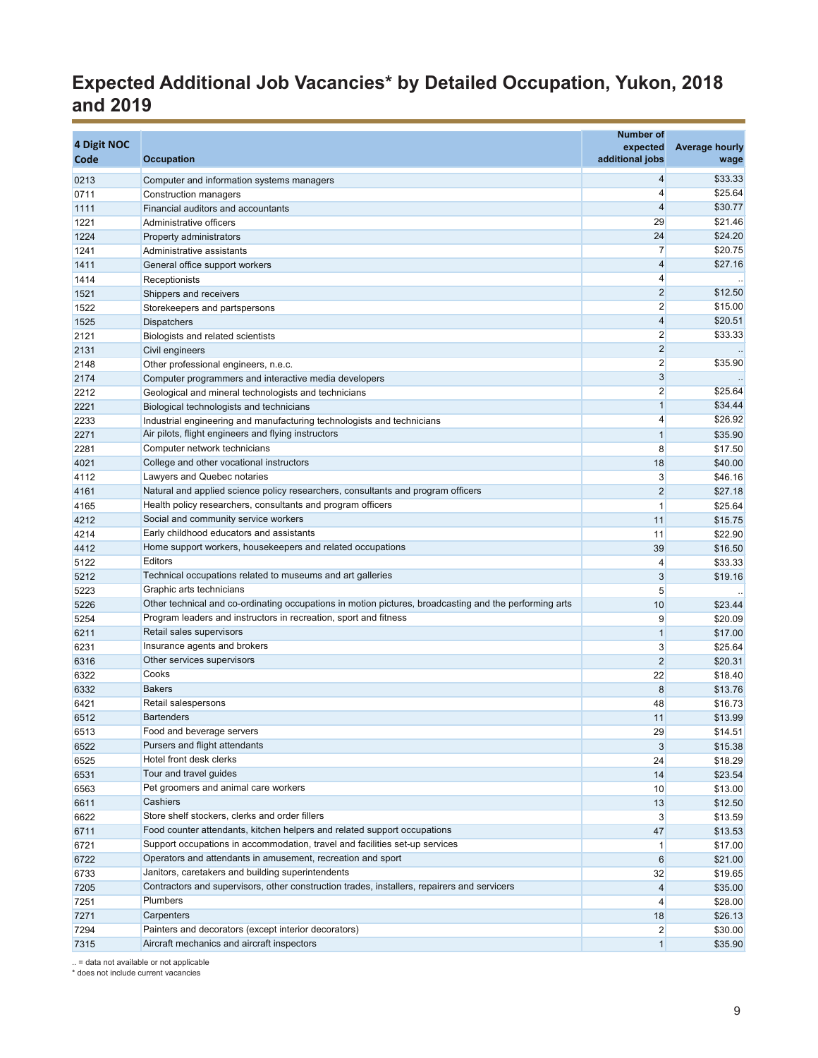# **Expected Additional Job Vacancies\* by Detailed Occupation, Yukon, 2018 and 2019**

| 4 Digit NOC<br>Code | <b>Occupation</b>                                                                                      | <b>Number of</b><br>expected<br>additional jobs | <b>Average hourly</b><br>wage |
|---------------------|--------------------------------------------------------------------------------------------------------|-------------------------------------------------|-------------------------------|
|                     |                                                                                                        |                                                 |                               |
| 0213                | Computer and information systems managers                                                              | 4<br>$\overline{4}$                             | \$33.33<br>\$25.64            |
| 0711                | Construction managers                                                                                  | $\overline{4}$                                  | \$30.77                       |
| 1111                | Financial auditors and accountants                                                                     | 29                                              | \$21.46                       |
| 1221<br>1224        | Administrative officers                                                                                | 24                                              | \$24.20                       |
| 1241                | Property administrators<br>Administrative assistants                                                   | 7                                               | \$20.75                       |
| 1411                | General office support workers                                                                         | $\overline{4}$                                  | \$27.16                       |
| 1414                | Receptionists                                                                                          | 4                                               |                               |
| 1521                | Shippers and receivers                                                                                 | $\overline{2}$                                  | \$12.50                       |
| 1522                | Storekeepers and partspersons                                                                          | $\overline{2}$                                  | \$15.00                       |
| 1525                | <b>Dispatchers</b>                                                                                     | $\overline{4}$                                  | \$20.51                       |
| 2121                | Biologists and related scientists                                                                      | $\overline{2}$                                  | \$33.33                       |
| 2131                | Civil engineers                                                                                        | $\overline{2}$                                  | $\sim$                        |
| 2148                | Other professional engineers, n.e.c.                                                                   | $\overline{2}$                                  | \$35.90                       |
| 2174                | Computer programmers and interactive media developers                                                  | $\overline{3}$                                  |                               |
| 2212                | Geological and mineral technologists and technicians                                                   | $\overline{2}$                                  | \$25.64                       |
| 2221                | Biological technologists and technicians                                                               | $\mathbf{1}$                                    | \$34.44                       |
| 2233                | Industrial engineering and manufacturing technologists and technicians                                 | 4                                               | \$26.92                       |
| 2271                | Air pilots, flight engineers and flying instructors                                                    | $\mathbf{1}$                                    | \$35.90                       |
| 2281                | Computer network technicians                                                                           | 8                                               | \$17.50                       |
| 4021                | College and other vocational instructors                                                               | 18                                              | \$40.00                       |
| 4112                | Lawyers and Quebec notaries                                                                            | 3                                               | \$46.16                       |
| 4161                | Natural and applied science policy researchers, consultants and program officers                       | $\overline{2}$                                  | \$27.18                       |
| 4165                | Health policy researchers, consultants and program officers                                            | $\mathbf{1}$                                    | \$25.64                       |
| 4212                | Social and community service workers                                                                   | 11                                              | \$15.75                       |
| 4214                | Early childhood educators and assistants                                                               | 11                                              | \$22.90                       |
| 4412                | Home support workers, housekeepers and related occupations                                             | 39                                              | \$16.50                       |
| 5122                | Editors                                                                                                | 4                                               | \$33.33                       |
| 5212                | Technical occupations related to museums and art galleries                                             | 3                                               | \$19.16                       |
| 5223                | Graphic arts technicians                                                                               | 5                                               |                               |
| 5226                | Other technical and co-ordinating occupations in motion pictures, broadcasting and the performing arts | 10                                              | \$23.44                       |
| 5254                | Program leaders and instructors in recreation, sport and fitness<br>Retail sales supervisors           | 9<br>$\mathbf{1}$                               | \$20.09                       |
| 6211<br>6231        | Insurance agents and brokers                                                                           | 3                                               | \$17.00                       |
| 6316                | Other services supervisors                                                                             | $\overline{2}$                                  | \$25.64<br>\$20.31            |
| 6322                | Cooks                                                                                                  | 22                                              | \$18.40                       |
| 6332                | <b>Bakers</b>                                                                                          | 8                                               | \$13.76                       |
| 6421                | Retail salespersons                                                                                    | 48                                              | \$16.73                       |
| 6512                | <b>Bartenders</b>                                                                                      | 11                                              | \$13.99                       |
| 6513                | Food and beverage servers                                                                              | 29                                              | \$14.51                       |
| 6522                | Pursers and flight attendants                                                                          | 3                                               | \$15.38                       |
| 6525                | Hotel front desk clerks                                                                                | 24                                              | \$18.29                       |
| 6531                | Tour and travel guides                                                                                 | 14                                              | \$23.54                       |
| 6563                | Pet groomers and animal care workers                                                                   | 10                                              | \$13.00                       |
| 6611                | Cashiers                                                                                               | 13                                              | \$12.50                       |
| 6622                | Store shelf stockers, clerks and order fillers                                                         | $\mathbf{3}$                                    | \$13.59                       |
| 6711                | Food counter attendants, kitchen helpers and related support occupations                               | 47                                              | \$13.53                       |
| 6721                | Support occupations in accommodation, travel and facilities set-up services                            | $\mathbf{1}$                                    | \$17.00                       |
| 6722                | Operators and attendants in amusement, recreation and sport                                            | 6                                               | \$21.00                       |
| 6733                | Janitors, caretakers and building superintendents                                                      | 32                                              | \$19.65                       |
| 7205                | Contractors and supervisors, other construction trades, installers, repairers and servicers            | $\overline{4}$                                  | \$35.00                       |
| 7251                | <b>Plumbers</b>                                                                                        | $\overline{4}$                                  | \$28.00                       |
| 7271                | Carpenters                                                                                             | 18                                              | \$26.13                       |
| 7294                | Painters and decorators (except interior decorators)                                                   | $\overline{2}$                                  | \$30.00                       |
| 7315                | Aircraft mechanics and aircraft inspectors                                                             | $\mathbf{1}$                                    | \$35.90                       |

.. = data not available or not applicable \* does not include current vacancies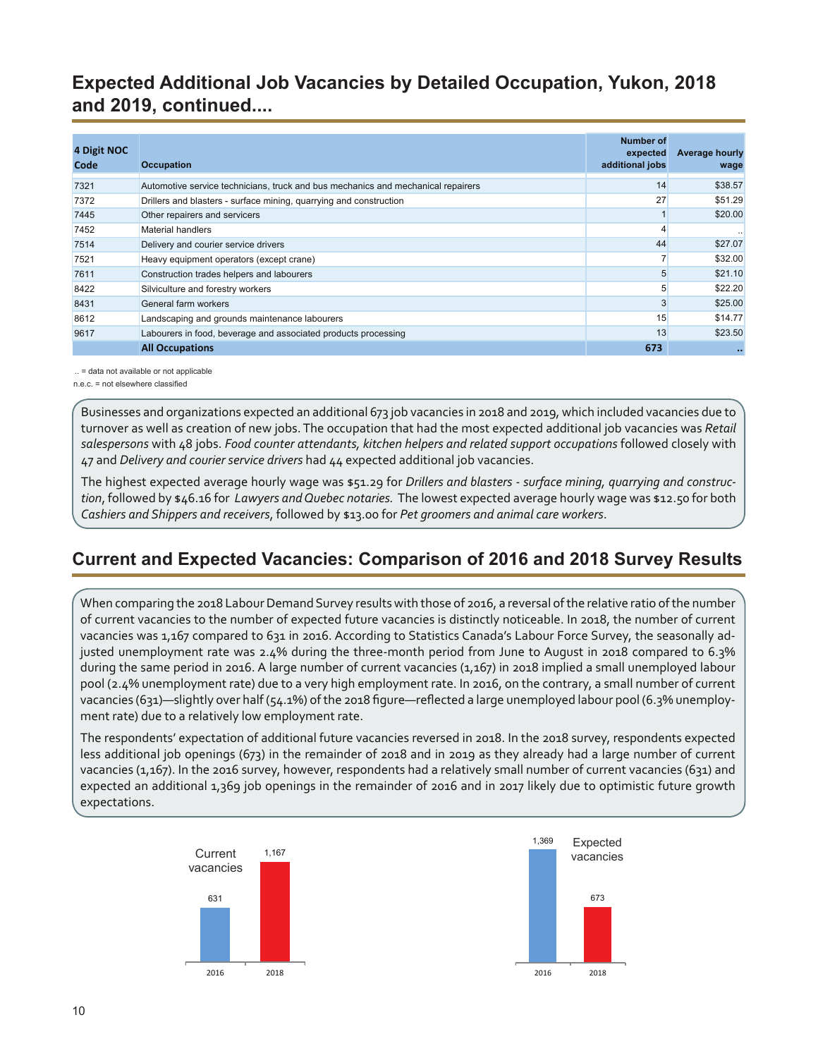<span id="page-9-0"></span>**Expected Additional Job Vacancies by Detailed Occupation, Yukon, 2018 and 2019, continued....**

| 4 Digit NOC<br>Code | <b>Occupation</b>                                                                | Number of<br>expected<br>additional jobs | <b>Average hourly</b><br>wage |
|---------------------|----------------------------------------------------------------------------------|------------------------------------------|-------------------------------|
| 7321                | Automotive service technicians, truck and bus mechanics and mechanical repairers | 14                                       | \$38.57                       |
| 7372                | Drillers and blasters - surface mining, quarrying and construction               | 27                                       | \$51.29                       |
| 7445                | Other repairers and servicers                                                    |                                          | \$20.00                       |
| 7452                | Material handlers                                                                |                                          |                               |
| 7514                | Delivery and courier service drivers                                             | 44                                       | \$27.07                       |
| 7521                | Heavy equipment operators (except crane)                                         |                                          | \$32.00                       |
| 7611                | Construction trades helpers and labourers                                        |                                          | \$21.10                       |
| 8422                | Silviculture and forestry workers                                                |                                          | \$22.20                       |
| 8431                | General farm workers                                                             |                                          | \$25.00                       |
| 8612                | Landscaping and grounds maintenance labourers                                    | 15                                       | \$14.77                       |
| 9617                | Labourers in food, beverage and associated products processing                   | 13                                       | \$23.50                       |
|                     | <b>All Occupations</b>                                                           | 673                                      | $\bullet\bullet$              |

.. = data not available or not applicable

n.e.c. = not elsewhere classified

Businesses and organizations expected an additional 673 job vacancies in 2018 and 2019, which included vacancies due to turnover as well as creation of new jobs. The occupation that had the most expected additional job vacancies was *Retail salespersons* with 48 jobs. *Food counter attendants, kitchen helpers and related support occupations* followed closely with 47 and *Delivery and courier service drivers* had 44 expected additional job vacancies.

The highest expected average hourly wage was \$51.29 for *Drillers and blasters - surface mining, quarrying and construction*, followed by \$46.16 for *Lawyers and Quebec notaries.* The lowest expected average hourly wage was \$12.50 for both *Cashiers and Shippers and receivers*, followed by \$13.00 for *Pet groomers and animal care workers*.

#### **Current and Expected Vacancies: Comparison of 2016 and 2018 Survey Results**

When comparing the 2018 Labour Demand Survey results with those of 2016, a reversal of the relative ratio of the number of current vacancies to the number of expected future vacancies is distinctly noticeable. In 2018, the number of current vacancies was 1,167 compared to 631 in 2016. According to Statistics Canada's Labour Force Survey, the seasonally adjusted unemployment rate was 2.4% during the three-month period from June to August in 2018 compared to 6.3% during the same period in 2016. A large number of current vacancies (1,167) in 2018 implied a small unemployed labour pool (2.4% unemployment rate) due to a very high employment rate. In 2016, on the contrary, a small number of current vacancies (631)—slightly over half (54.1%) of the 2018 figure—reflected a large unemployed labour pool (6.3% unemployment rate) due to a relatively low employment rate.

The respondents' expectation of additional future vacancies reversed in 2018. In the 2018 survey, respondents expected less additional job openings (673) in the remainder of 2018 and in 2019 as they already had a large number of current vacancies (1,167). In the 2016 survey, however, respondents had a relatively small number of current vacancies (631) and expected an additional 1,369 job openings in the remainder of 2016 and in 2017 likely due to optimistic future growth expectations.



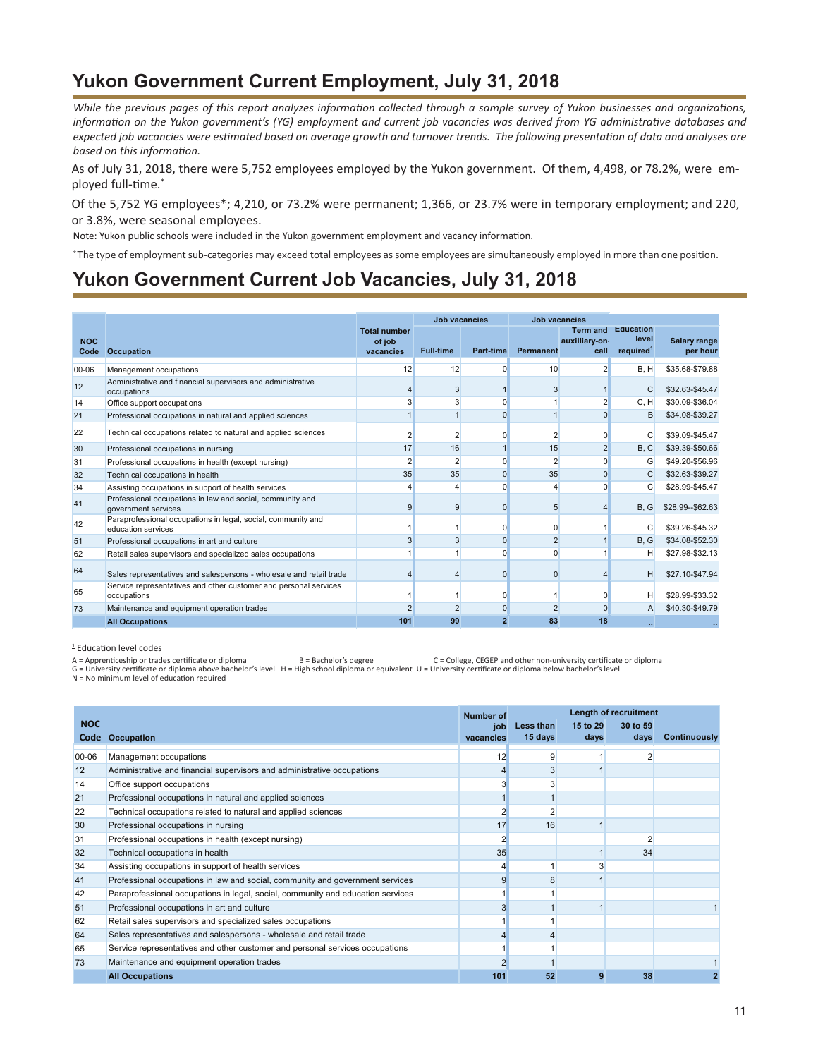# **Yukon Government Current Employment, July 31, 2018**

*While the previous pages of this report analyzes information collected through a sample survey of Yukon businesses and organizations, information on the Yukon government's (YG) employment and current job vacancies was derived from YG administrative databases and expected job vacancies were estimated based on average growth and turnover trends. The following presentation of data and analyses are based on this information.*

As of July 31, 2018, there were 5,752 employees employed by the Yukon government. Of them, 4,498, or 78.2%, were employed full-time.\*

Of the 5,752 YG employees\*; 4,210, or 73.2% were permanent; 1,366, or 23.7% were in temporary employment; and 220, or 3.8%, were seasonal employees.

Note: Yukon public schools were included in the Yukon government employment and vacancy information.

\* The type of employment sub-categories may exceed total employees as some employees are simultaneously employed in more than one position.

#### **Yukon Government Current Job Vacancies, July 31, 2018**

|                    |                                                                                    |                                            | <b>Job vacancies</b> |                | <b>Job vacancies</b> |                                          |                                                    |                          |
|--------------------|------------------------------------------------------------------------------------|--------------------------------------------|----------------------|----------------|----------------------|------------------------------------------|----------------------------------------------------|--------------------------|
| <b>NOC</b><br>Code | Occupation                                                                         | <b>Total number</b><br>of job<br>vacancies | <b>Full-time</b>     | Part-time      | Permanent            | <b>Term and</b><br>auxilliary-on<br>call | <b>Education</b><br>level<br>required <sup>1</sup> | Salary range<br>per hour |
| 00-06              | Management occupations                                                             | 12                                         | 12                   | $\Omega$       | 10                   | っ                                        | B.H                                                | \$35.68-\$79.88          |
| 12                 | Administrative and financial supervisors and administrative<br>occupations         |                                            | 3                    |                | 3                    |                                          | $\mathsf{C}$                                       | \$32.63-\$45.47          |
| 14                 | Office support occupations                                                         |                                            | 3                    | $\Omega$       |                      |                                          | C, H                                               | \$30.09-\$36.04          |
| 21                 | Professional occupations in natural and applied sciences                           |                                            |                      | $\Omega$       |                      | $\Omega$                                 | B                                                  | \$34.08-\$39.27          |
| 22                 | Technical occupations related to natural and applied sciences                      |                                            | $\overline{2}$       |                | $\overline{2}$       |                                          | C                                                  | \$39.09-\$45.47          |
| 30                 | Professional occupations in nursing                                                | 17                                         | 16                   |                | 15                   |                                          | B, C                                               | \$39.39-\$50.66          |
| 31                 | Professional occupations in health (except nursing)                                | $\overline{2}$                             | $\overline{2}$       | $\Omega$       | $\overline{2}$       | $\Omega$                                 | G                                                  | \$49.20-\$56.96          |
| 32                 | Technical occupations in health                                                    | 35                                         | 35                   | $\Omega$       | 35                   | <sup>0</sup>                             | $\mathsf{C}$                                       | \$32.63-\$39.27          |
| 34                 | Assisting occupations in support of health services                                |                                            | 4                    | n              |                      | n                                        | C                                                  | \$28.99-\$45.47          |
| 41                 | Professional occupations in law and social, community and<br>government services   | 9                                          | 9                    | $\Omega$       | 5                    |                                          | B.G                                                | \$28.99 -- \$62.63       |
| 42                 | Paraprofessional occupations in legal, social, community and<br>education services |                                            |                      |                | O                    |                                          | C                                                  | \$39.26-\$45.32          |
| 51                 | Professional occupations in art and culture                                        | 3                                          | 3                    | $\Omega$       | $\overline{2}$       |                                          | B, G                                               | \$34.08-\$52.30          |
| 62                 | Retail sales supervisors and specialized sales occupations                         |                                            |                      | $\Omega$       | $\Omega$             |                                          | н                                                  | \$27.98-\$32.13          |
| 64                 | Sales representatives and salespersons - wholesale and retail trade                |                                            |                      | $\Omega$       | $\Omega$             |                                          | н                                                  | \$27.10-\$47.94          |
| 65                 | Service representatives and other customer and personal services<br>occupations    |                                            |                      | n              |                      |                                          | н                                                  | \$28.99-\$33.32          |
| 73                 | Maintenance and equipment operation trades                                         |                                            | $\mathfrak{p}$       | $\Omega$       |                      |                                          | A                                                  | \$40.30-\$49.79          |
|                    | <b>All Occupations</b>                                                             | 101                                        | 99                   | $\overline{2}$ | 83                   | 18                                       |                                                    |                          |

**Education level codes** 

A = Apprenticeship or trades certificate or diploma B = Bachelor's degree C = College, CEGEP and other non-university certificate or diploma G = University certificate or diploma above bachelor's level H = High school diploma or equivalent U = University certificate or diploma below bachelor's level

 $N = No$  minimum level of education required

|            |                                                                                 | Number of        | Length of recruitment |                  |                  |                     |
|------------|---------------------------------------------------------------------------------|------------------|-----------------------|------------------|------------------|---------------------|
| <b>NOC</b> | Code Occupation                                                                 | job<br>vacancies | Less than<br>15 days  | 15 to 29<br>days | 30 to 59<br>days | <b>Continuously</b> |
| 00-06      | Management occupations                                                          | 12               | 9                     |                  | 2                |                     |
| 12         | Administrative and financial supervisors and administrative occupations         |                  | 3                     |                  |                  |                     |
| 14         | Office support occupations                                                      |                  |                       |                  |                  |                     |
| 21         | Professional occupations in natural and applied sciences                        |                  |                       |                  |                  |                     |
| 22         | Technical occupations related to natural and applied sciences                   |                  |                       |                  |                  |                     |
| 30         | Professional occupations in nursing                                             | 17               | 16                    |                  |                  |                     |
| 31         | Professional occupations in health (except nursing)                             |                  |                       |                  |                  |                     |
| 32         | Technical occupations in health                                                 | 35               |                       |                  | 34               |                     |
| 34         | Assisting occupations in support of health services                             |                  |                       |                  |                  |                     |
| 41         | Professional occupations in law and social, community and government services   |                  |                       |                  |                  |                     |
| 42         | Paraprofessional occupations in legal, social, community and education services |                  |                       |                  |                  |                     |
| 51         | Professional occupations in art and culture                                     |                  |                       |                  |                  |                     |
| 62         | Retail sales supervisors and specialized sales occupations                      |                  |                       |                  |                  |                     |
| 64         | Sales representatives and salespersons - wholesale and retail trade             |                  |                       |                  |                  |                     |
| 65         | Service representatives and other customer and personal services occupations    |                  |                       |                  |                  |                     |
| 73         | Maintenance and equipment operation trades                                      |                  |                       |                  |                  |                     |
|            | <b>All Occupations</b>                                                          | 101              | 52                    |                  | 38               |                     |